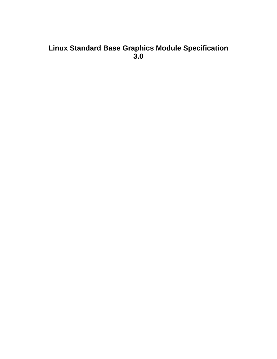# <span id="page-0-0"></span>**Linux Standard Base Graphics Module Specification 3.0**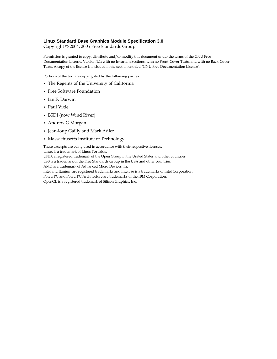#### **Linux Standard Base Graphics Module Specification 3.0**

Copyright © 2004, 2005 Free Standards Group

Permission is granted to copy, distribute and/or modify this document under the terms of the GNU Free Documentation License, Version 1.1; with no Invariant Sections, with no Front-Cover Texts, and with no Back-Cover Texts. A copy of the license is included in the section entitled "GNU Free Documentation License".

Portions of the text are copyrighted by the following parties:

- The Regents of the University of California
- Free Software Foundation
- Ian F. Darwin
- Paul Vixie
- BSDI (now Wind River)
- Andrew G Morgan
- Jean-loup Gailly and Mark Adler
- Massachusetts Institute of Technology

These excerpts are being used in accordance with their respective licenses. Linux is a trademark of Linus Torvalds.

UNIX a registered trademark of the Open Group in the United States and other countries.

LSB is a trademark of the Free Standards Group in the USA and other countries.

AMD is a trademark of Advanced Micro Devices, Inc.

Intel and Itanium are registered trademarks and Intel386 is a trademarks of Intel Corporation.

PowerPC and PowerPC Architecture are trademarks of the IBM Corporation.

OpenGL is a registered trademark of Silicon Graphics, Inc.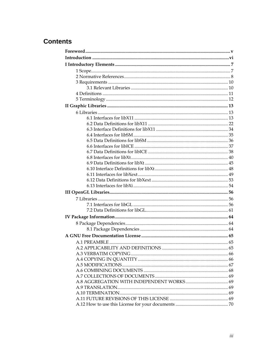# **Contents**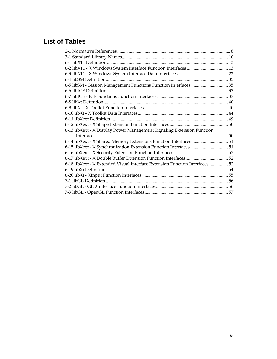# **List of Tables**

| 6-5 libSM - Session Management Functions Function Interfaces  35            |
|-----------------------------------------------------------------------------|
|                                                                             |
|                                                                             |
|                                                                             |
|                                                                             |
|                                                                             |
|                                                                             |
|                                                                             |
|                                                                             |
|                                                                             |
| 6-14 libXext - X Shared Memory Extensions Function Interfaces51             |
| 6-15 libXext - X Synchronization Extension Function Interfaces51            |
|                                                                             |
|                                                                             |
| 6-18 libXext - X Extended Visual Interface Extension Function Interfaces 52 |
|                                                                             |
|                                                                             |
|                                                                             |
|                                                                             |
|                                                                             |
|                                                                             |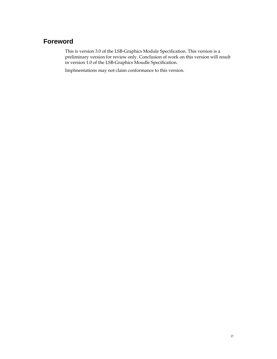# <span id="page-4-0"></span>**Foreword**

This is version 3.0 of the LSB-Graphics Module Specification. This version is a preliminary version for review only. Conclusion of work on this version will result in version 1.0 of the LSB-Graphics Moudle Specification.

Implmentations may not claim conformance to this version.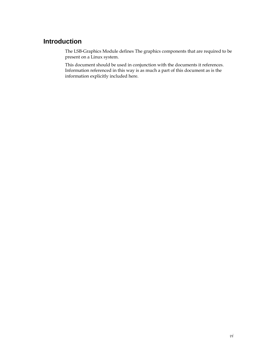# <span id="page-5-0"></span>**Introduction**

The LSB-Graphics Module defines The graphics components that are required to be present on a Linux system.

This document should be used in conjunction with the documents it references. Information referenced in this way is as much a part of this document as is the information explicitly included here.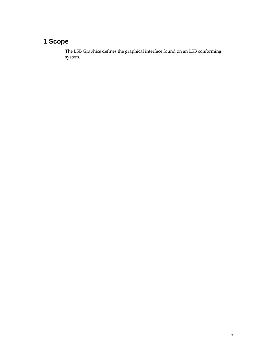# <span id="page-6-0"></span>**1 Scope**

The LSB Graphics defines the graphical interface found on an LSB conforming system.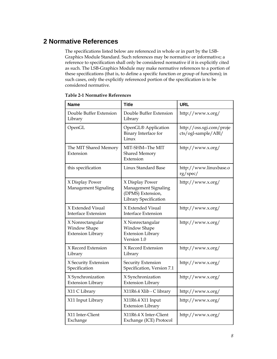# <span id="page-7-0"></span>**2 Normative References**

The specifications listed below are referenced in whole or in part by the LSB-Graphics Module Standard. Such references may be normative or informative; a reference to specification shall only be considered normative if it is explicitly cited as such. The LSB-Graphics Module may make normative references to a portion of these specifications (that is, to define a specific function or group of functions); in such cases, only the explicitly referenced portion of the specification is to be considered normative.

| <b>Name</b>                                                  | <b>Title</b>                                                                          | <b>URL</b>                                      |
|--------------------------------------------------------------|---------------------------------------------------------------------------------------|-------------------------------------------------|
| Double Buffer Extension<br>Library                           | Double Buffer Extension<br>Library                                                    | http://www.x.org/                               |
| OpenGL                                                       | OpenGL® Application<br>Binary Interface for<br>Linux                                  | http://oss.sgi.com/proje<br>cts/ogl-sample/ABI/ |
| The MIT Shared Memory<br>Extension                           | MIT-SHM--The MIT<br><b>Shared Memory</b><br>Extension                                 | http://www.x.org/                               |
| this specification                                           | Linux Standard Base                                                                   | http://www.linuxbase.o<br>rg/spec/              |
| X Display Power<br>Management Signaling                      | X Display Power<br>Management Signaling<br>(DPMS) Extension,<br>Library Specification | http://www.x.org/                               |
| X Extended Visual<br><b>Interface Extension</b>              | X Extended Visual<br><b>Interface Extension</b>                                       | http://www.x.org/                               |
| X Nonrectangular<br>Window Shape<br><b>Extension Library</b> | X Nonrectangular<br>Window Shape<br><b>Extension Library</b><br>Version 1.0           | http://www.x.org/                               |
| X Record Extension<br>Library                                | X Record Extension<br>Library                                                         | http://www.x.org/                               |
| X Security Extension<br>Specification                        | Security Extension<br>Specification, Version 7.1                                      | http://www.x.org/                               |
| X Synchronization<br><b>Extension Library</b>                | X Synchronization<br><b>Extension Library</b>                                         | http://www.x.org/                               |
| X11 C Library                                                | X11R6.4 Xlib - C library                                                              | http://www.x.org/                               |
| X11 Input Library                                            | X11R6.4 X11 Input<br><b>Extension Library</b>                                         | http://www.x.org/                               |
| X11 Inter-Client<br>Exchange                                 | X11R6.4 X Inter-Client<br>Exchange (ICE) Protocol                                     | http://www.x.org/                               |

#### **Table 2-1 Normative References**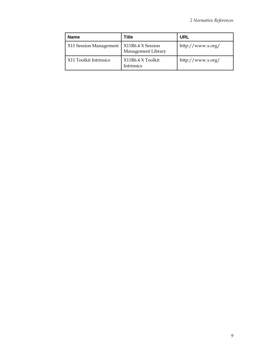| <b>Name</b>            | Title                                   | <b>URL</b>        |
|------------------------|-----------------------------------------|-------------------|
| X11 Session Management | X11R6.4 X Session<br>Management Library | http://www.x.org/ |
| X11 Toolkit Intrinsics | X11R6.4 X Toolkit<br><b>Intrinsics</b>  | http://www.x.org/ |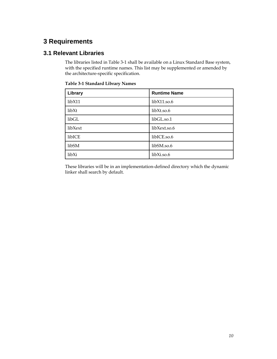# <span id="page-9-0"></span>**3 Requirements**

# **3.1 Relevant Libraries**

The libraries listed in [Table 3-1](#page-9-0) shall be available on a Linux Standard Base system, with the specified runtime names. This list may be supplemented or amended by the architecture-specific specification.

| Library | <b>Runtime Name</b> |
|---------|---------------------|
| libX11  | libX11.so.6         |
| libXt   | libXt.so.6          |
| libGL   | libGL.so.1          |
| libXext | libXext.so.6        |
| libICE  | libICE.so.6         |
| libSM   | libSM.so.6          |
| libXi   | libXi.so.6          |

**Table 3-1 Standard Library Names** 

These libraries will be in an implementation-defined directory which the dynamic linker shall search by default.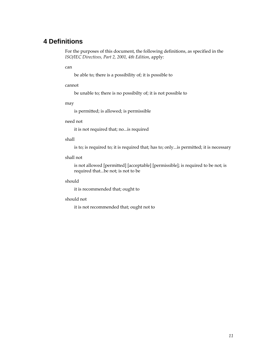# <span id="page-10-0"></span>**4 Definitions**

For the purposes of this document, the following definitions, as specified in the *ISO/IEC Directives, Part 2, 2001, 4th Edition*, apply:

can

be able to; there is a possibility of; it is possible to

#### cannot

be unable to; there is no possibilty of; it is not possible to

may

is permitted; is allowed; is permissible

#### need not

it is not required that; no...is required

#### shall

is to; is required to; it is required that; has to; only...is permitted; it is necessary

#### shall not

 is not allowed [permitted] [acceptable] [permissible]; is required to be not; is required that...be not; is not to be

#### should

it is recommended that; ought to

#### should not

it is not recommended that; ought not to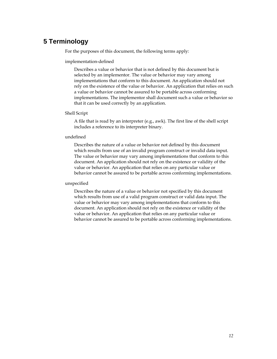# <span id="page-11-0"></span>**5 Terminology**

For the purposes of this document, the following terms apply:

#### implementation-defined

 Describes a value or behavior that is not defined by this document but is selected by an implementor. The value or behavior may vary among implementations that conform to this document. An application should not rely on the existence of the value or behavior. An application that relies on such a value or behavior cannot be assured to be portable across conforming implementations. The implementor shall document such a value or behavior so that it can be used correctly by an application.

#### Shell Script

 A file that is read by an interpreter (e.g., awk). The first line of the shell script includes a reference to its interpreter binary.

#### undefined

 Describes the nature of a value or behavior not defined by this document which results from use of an invalid program construct or invalid data input. The value or behavior may vary among implementations that conform to this document. An application should not rely on the existence or validity of the value or behavior. An application that relies on any particular value or behavior cannot be assured to be portable across conforming implementations.

#### unspecified

 Describes the nature of a value or behavior not specified by this document which results from use of a valid program construct or valid data input. The value or behavior may vary among implementations that conform to this document. An application should not rely on the existence or validity of the value or behavior. An application that relies on any particular value or behavior cannot be assured to be portable across conforming implementations.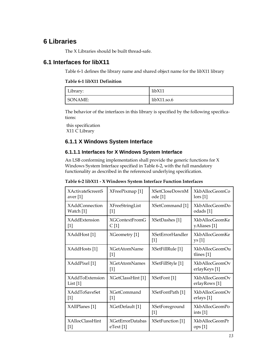# <span id="page-12-0"></span>**6 Libraries**

The X Libraries should be built thread-safe.

# **6.1 Interfaces for libX11**

[Table 6-1](#page-12-0) defines the library name and shared object name for the libX11 library

#### **Table 6-1 libX11 Definition**

| Library: | libX11      |
|----------|-------------|
| SONAME:  | libX11.so.6 |

The behavior of the interfaces in this library is specified by the following specifications:

[this specification](#page-0-0) [X11 C Library](#page-0-0)

# **6.1.1 X Windows System Interface**

## **6.1.1.1 Interfaces for X Windows System Interface**

An LSB conforming implementation shall provide the generic functions for X Windows System Interface specified in [Table 6-2,](#page-12-0) with the full mandatory functionality as described in the referenced underlying specification.

| Table 6-2 libX11 - X Windows System Interface Function Interfaces |  |  |  |  |  |
|-------------------------------------------------------------------|--|--|--|--|--|
|-------------------------------------------------------------------|--|--|--|--|--|

| <b>XActivateScreenS</b>           | XFreePixmap [1]               | <b>XSetCloseDownM</b>            | XkbAllocGeomCo                         |
|-----------------------------------|-------------------------------|----------------------------------|----------------------------------------|
| aver $[1]$                        |                               | ode [1]                          | $\log$ [1]                             |
| <b>XAddConnection</b>             | <b>XFreeStringList</b>        | XSetCommand [1]                  | <b>XkbAllocGeomDo</b>                  |
| Watch [1]                         | 1                             |                                  | odads [1]                              |
| <b>XAddExtension</b>              | <b>XGContextFromG</b>         | XSetDashes [1]                   | <b>XkbAllocGeomKe</b>                  |
| $[1]$                             | C[1]                          |                                  | yAliases [1]                           |
| XAddHost [1]                      | XGeometry [1]                 | <b>XSetErrorHandler</b><br>$[1]$ | <b>XkbAllocGeomKe</b><br>ys [1]        |
| XAddHosts [1]                     | <b>XGetAtomName</b><br>$[1]$  | XSetFillRule [1]                 | XkbAllocGeomOu<br>tlines $[1]$         |
| XAddPixel [1]                     | <b>XGetAtomNames</b><br>$[1]$ | XSetFillStyle [1]                | XkbAllocGeomOv<br>erlayKeys [1]        |
| <b>XAddToExtension</b><br>List[1] | XGetClassHint [1]             | XSetFont <sup>[1]</sup>          | <b>XkbAllocGeomOv</b><br>erlayRows [1] |
| <b>XAddToSaveSet</b>              | XGetCommand                   | XSetFontPath [1]                 | XkbAllocGeomOv                         |
| $[1]$                             | $[1]$                         |                                  | erlays [1]                             |
| XAllPlanes [1]                    | XGetDefault [1]               | XSetForeground<br>$[1]$          | <b>XkbAllocGeomPo</b><br>ints $[1]$    |
| <b>XAllocClassHint</b>            | <b>XGetErrorDatabas</b>       | XSetFunction [1]                 | <b>XkbAllocGeomPr</b>                  |
| $[1]$                             | eText[1]                      |                                  | ops[1]                                 |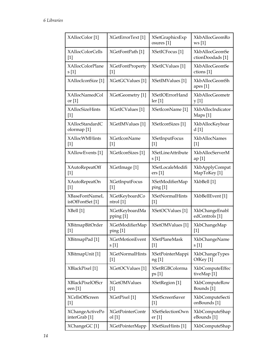| XAllocColor [1]                           | XGetErrorText <sup>[1]</sup> | <b>XSetGraphicsExp</b><br>osures [1] | XkbAllocGeomRo<br>ws[1]                     |
|-------------------------------------------|------------------------------|--------------------------------------|---------------------------------------------|
| <b>XAllocColorCells</b><br>$[1]$          | XGetFontPath [1]             | XSetICFocus <sup>[1]</sup>           | <b>XkbAllocGeomSe</b><br>ctionDoodads [1]   |
| <b>XAllocColorPlane</b>                   | XGetFontProperty             | XSetICValues <sup>[1]</sup>          | <b>XkbAllocGeomSe</b>                       |
| s[1]                                      | $[1]$                        |                                      | ctions [1]                                  |
| XAllocIconSize <sup>[1]</sup>             | XGetGCValues <sup>[1]</sup>  | XSetIMValues [1]                     | <b>XkbAllocGeomSh</b><br>apes [1]           |
| XAllocNamedCol                            | XGetGeometry [1]             | <b>XSetIOErrorHand</b>               | XkbAllocGeometr                             |
| or $[1]$                                  |                              | $\text{ler} [1]$                     | y [1]                                       |
| XAllocSizeHints<br>$[1]$                  | XGetICValues [1]             | XSetIconName <sup>[1]</sup>          | XkbAllocIndicator<br>Maps [1]               |
| XAllocStandardC<br>olormap <sup>[1]</sup> | XGetIMValues [1]             | XSetIconSizes [1]                    | XkbAllocKeyboar<br>d[1]                     |
| <b>XAllocWMHints</b>                      | <b>XGetIconName</b>          | <b>XSetInputFocus</b>                | <b>XkbAllocNames</b>                        |
| $[1]$                                     | $[1]$                        | $[1]$                                | $[1]$                                       |
| XAllowEvents [1]                          | XGetIconSizes <sup>[1]</sup> | <b>XSetLineAttribute</b><br>s[1]     | <b>XkbAllocServerM</b><br>ap [1]            |
| <b>XAutoRepeatOff</b>                     | XGetImage [1]                | XSetLocaleModifi                     | XkbApplyCompat                              |
| $[1]$                                     |                              | ers <sub>[1]</sub>                   | MapToKey [1]                                |
| XAutoRepeatOn                             | <b>XGetInputFocus</b>        | XSetModifierMap                      | XkbBell [1]                                 |
| $[1]$                                     | $[1]$                        | $\pi$ [1]                            |                                             |
| <b>XBaseFontNameL</b>                     | XGetKeyboardCo               | <b>XSetNormalHints</b>               | XkbBellEvent [1]                            |
| istOfFontSet [1]                          | ntrol [1]                    | $[1]$                                |                                             |
| XBell [1]                                 | XGetKeyboardMa<br>pping [1]  | XSetOCValues [1]                     | XkbChangeEnabl<br>edControls <sup>[1]</sup> |
| XBitmapBitOrder                           | XGetModifierMap              | XSetOMValues [1]                     | XkbChangeMap                                |
| $[1]$                                     | $\pi$ ping [1]               |                                      | $[1]$                                       |
| XBitmapPad [1]                            | <b>XGetMotionEvent</b>       | <b>XSetPlaneMask</b>                 | <b>XkbChangeName</b>                        |
|                                           | s[1]                         | $[1]$                                | s[1]                                        |
| XBitmapUnit [1]                           | <b>XGetNormalHints</b>       | XSetPointerMappi                     | XkbChangeTypes                              |
|                                           | $[1]$                        | ng [1]                               | OfKey [1]                                   |
| XBlackPixel [1]                           | XGetOCValues [1]             | <b>XSetRGBColorma</b><br>ps[1]       | XkbComputeEffec<br>tiveMap <sup>[1]</sup>   |
| XBlackPixelOfScr                          | <b>XGetOMValues</b>          | XSetRegion [1]                       | XkbComputeRow                               |
| een [1]                                   | $[1]$                        |                                      | Bounds [1]                                  |
| <b>XCellsOfScreen</b>                     | XGetPixel [1]                | <b>XSetScreenSaver</b>               | XkbComputeSecti                             |
| $[1]$                                     |                              | $[1]$                                | onBounds [1]                                |
| XChangeActivePo                           | XGetPointerContr             | XSetSelectionOwn                     | <b>XkbComputeShap</b>                       |
| interGrab <sup>[1]</sup>                  | ol [1]                       | er <sub>[1]</sub>                    | eBounds [1]                                 |
| XChangeGC [1]                             | <b>XGetPointerMapp</b>       | XSetSizeHints [1]                    | <b>XkbComputeShap</b>                       |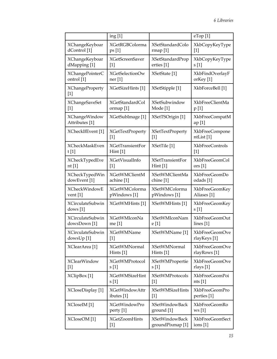|                                        | ing [1]                 |                         | eTop[1]                       |
|----------------------------------------|-------------------------|-------------------------|-------------------------------|
| <b>XChangeKeyboar</b>                  | <b>XGetRGBColorma</b>   | XSetStandardColo        | XkbCopyKeyType                |
| dControl [1]                           | ps[1]                   | rmap[1]                 | $[1]$                         |
| <b>XChangeKeyboar</b>                  | <b>XGetScreenSaver</b>  | <b>XSetStandardProp</b> | XkbCopyKeyType                |
| dMapping [1]                           | $[1]$                   | erties [1]              | s[1]                          |
| XChangePointerC                        | XGetSelectionOw         | XSetState [1]           | XkbFindOverlayF               |
| ontrol [1]                             | ner [1]                 |                         | orKey [1]                     |
| <b>XChangeProperty</b><br>$[1]$        | XGetSizeHints [1]       | XSetStipple [1]         | XkbForceBell [1]              |
| XChangeSaveSet                         | XGetStandardCol         | <b>XSetSubwindow</b>    | <b>XkbFreeClientMa</b>        |
| $[1]$                                  | ormap <sup>[1]</sup>    | Mode [1]                | p[1]                          |
| <b>XChangeWindow</b><br>Attributes [1] | XGetSubImage [1]        | XSetTSOrigin [1]        | XkbFreeCompatM<br>ap [1]      |
| XCheckIfEvent [1]                      | <b>XGetTextProperty</b> | <b>XSetTextProperty</b> | XkbFreeCompone                |
|                                        | $[1]$                   | $[1]$                   | ntList [1]                    |
| <b>XCheckMaskEven</b>                  | <b>XGetTransientFor</b> | XSetTile [1]            | XkbFreeControls               |
| t[1]                                   | Hint <sup>[1]</sup>     |                         | $[1]$                         |
| XCheckTypedEve                         | XGetVisualInfo          | <b>XSetTransientFor</b> | XkbFreeGeomCol                |
| nt [1]                                 | $[1]$                   | Hint[1]                 | ors <sub>[1]</sub>            |
| XCheckTypedWin                         | <b>XGetWMClientM</b>    | <b>XSetWMClientMa</b>   | XkbFreeGeomDo                 |
| dowEvent <sup>[1]</sup>                | achine [1]              | chine [1]               | odads [1]                     |
| <b>XCheckWindowE</b>                   | <b>XGetWMColorma</b>    | <b>XSetWMColorma</b>    | <b>XkbFreeGeomKey</b>         |
| vent $[1]$                             | pWindows [1]            | pWindows [1]            | Aliases [1]                   |
| <b>XCirculateSubwin</b><br>dows [1]    | XGetWMHints [1]         | XSetWMHints [1]         | <b>XkbFreeGeomKey</b><br>s[1] |
| <b>XCirculateSubwin</b>                | <b>XGetWMIconNa</b>     | <b>XSetWMIconNam</b>    | XkbFreeGeomOut                |
| dowsDown [1]                           | me $[1]$                | e [1]                   | lines [1]                     |
| <b>XCirculateSubwin</b>                | <b>XGetWMName</b>       | XSetWMName [1]          | XkbFreeGeomOve                |
| dowsUp <sup>[1]</sup>                  | $[1]$                   |                         | rlayKeys [1]                  |
| XClearArea <sup>[1]</sup>              | <b>XGetWMNormal</b>     | <b>XSetWMNormal</b>     | XkbFreeGeomOve                |
|                                        | Hints [1]               | Hints [1]               | rlayRows [1]                  |
| <b>XClearWindow</b>                    | <b>XGetWMProtocol</b>   | XSetWMPropertie         | XkbFreeGeomOve                |
| $[1]$                                  | s[1]                    | s [1]                   | rlays [1]                     |
| XClipBox <sup>[1]</sup>                | <b>XGetWMSizeHint</b>   | <b>XSetWMProtocols</b>  | XkbFreeGeomPoi                |
|                                        | s[1]                    | $[1]$                   | nts[1]                        |
| XCloseDisplay [1]                      | <b>XGetWindowAttr</b>   | <b>XSetWMSizeHints</b>  | <b>XkbFreeGeomPro</b>         |
|                                        | ibutes [1]              | $[1]$                   | perties [1]                   |
| XCloseIM [1]                           | <b>XGetWindowPro</b>    | <b>XSetWindowBack</b>   | <b>XkbFreeGeomRo</b>          |
|                                        | perty [1]               | ground [1]              | ws[1]                         |
| XCloseOM [1]                           | <b>XGetZoomHints</b>    | <b>XSetWindowBack</b>   | <b>XkbFreeGeomSect</b>        |
|                                        | $[1]$                   | groundPixmap [1]        | ions <sub>[1]</sub>           |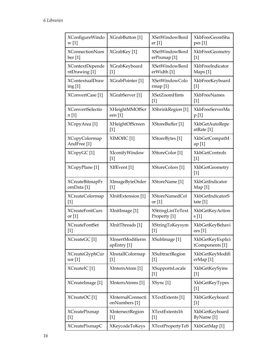| XConfigureWindo                                | XGrabButton [1]                    | XSetWindowBord                | XkbFreeGeomSha                          |
|------------------------------------------------|------------------------------------|-------------------------------|-----------------------------------------|
| w[1]                                           |                                    | er <sub>[1]</sub>             | pes [1]                                 |
| <b>XConnectionNum</b>                          | XGrabKey [1]                       | XSetWindowBord                | <b>XkbFreeGeometry</b>                  |
| ber <sub>[1]</sub>                             |                                    | erPixmap <sup>[1]</sup>       | $[1]$                                   |
| <b>XContextDepende</b>                         | <b>XGrabKeyboard</b>               | <b>XSetWindowBord</b>         | XkbFreeIndicator                        |
| ntDrawing [1]                                  | $[1]$                              | erWidth [1]                   | Maps [1]                                |
| <b>XContextualDraw</b>                         | XGrabPointer [1]                   | <b>XSetWindowColo</b>         | XkbFreeKeyboard                         |
| ing <sub>[1]</sub>                             |                                    | rmap[1]                       | $[1]$                                   |
| XConvertCase <sup>[1]</sup>                    | XGrabServer <sup>[1]</sup>         | <b>XSetZoomHints</b><br>$[1]$ | <b>XkbFreeNames</b><br>$[1]$            |
| <b>XConvertSelectio</b>                        | <b>XHeightMMOfScr</b>              | XShrinkRegion [1]             | <b>XkbFreeServerMa</b>                  |
| n [1]                                          | een [1]                            |                               | p[1]                                    |
| XCopyArea <sup>[1]</sup>                       | <b>XHeightOfScreen</b><br>$[1]$    | XStoreBuffer [1]              | XkbGetAutoRepe<br>atRate <sup>[1]</sup> |
| <b>XCopyColormap</b><br>AndFree <sup>[1]</sup> | XIMOfIC <sup>[1]</sup>             | XStoreBytes [1]               | <b>XkbGetCompatM</b><br>ap [1]          |
| XCopyGC <sup>[1]</sup>                         | XIconifyWindow<br>[1]              | XStoreColor [1]               | <b>XkbGetControls</b><br>$[1]$          |
| XCopyPlane [1]                                 | XIfEvent <sup>[1]</sup>            | XStoreColors [1]              | <b>XkbGetGeometry</b><br>$[1]$          |
| <b>XCreateBitmapFr</b>                         | XImageByteOrder                    | XStoreName <sup>[1]</sup>     | XkbGetIndicator                         |
| omData <sup>[1]</sup>                          | $[1]$                              |                               | Map $[1]$                               |
| XCreateColormap                                | XInitExtension [1]                 | XStoreNamedCol                | <b>XkbGetIndicatorS</b>                 |
| $[1]$                                          |                                    | or $[1]$                      | tate $[1]$                              |
| <b>XCreateFontCurs</b>                         | XInitImage [1]                     | XStringListToText             | XkbGetKeyAction                         |
| or $[1]$                                       |                                    | Property <sup>[1]</sup>       | s[1]                                    |
| <b>XCreateFontSet</b>                          | XInitThreads [1]                   | XStringToKeysym               | XkbGetKeyBehavi                         |
| $[1]$                                          |                                    | $[1]$                         | ors <sub>[1]</sub>                      |
| XCreateGC <sup>[1]</sup>                       | XInsertModifierm<br>apEntry [1]    | XSubImage <sup>[1]</sup>      | XkbGetKeyExplici<br>tComponents [1]     |
| <b>XCreateGlyphCur</b>                         | XInstallColormap                   | <b>XSubtractRegion</b>        | XkbGetKeyModifi                         |
| sor $[1]$                                      | $[1]$                              | $[1]$                         | erMap <sup>[1]</sup>                    |
| XCreateIC <sup>[1]</sup>                       | XInternAtom [1]                    | XSupportsLocale<br>$[1]$      | XkbGetKeySyms<br>$[1]$                  |
| XCreateImage <sup>[1]</sup>                    | XInternAtoms <sup>[1]</sup>        | XSync <sup>[1]</sup>          | XkbGetKeyTypes<br>$[1]$                 |
| XCreateOC[1]                                   | XInternalConnecti<br>onNumbers [1] | XTextExtents [1]              | XkbGetKeyboard<br>$[1]$                 |
| XCreatePixmap                                  | <b>XIntersectRegion</b>            | XTextExtents16                | XkbGetKeyboard                          |
| $[1]$                                          | $[1]$                              | $[1]$                         | ByName [1]                              |
| XCreatePixmapC                                 | XKeycodeToKeys                     | <b>XTextPropertyToS</b>       | XkbGetMap [1]                           |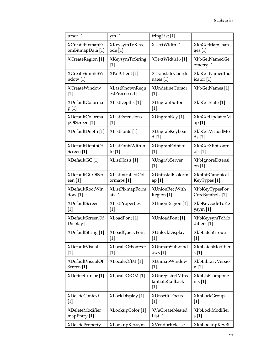| ursor $[1]$                     | ym <sub>[1]</sub>          | tringList [1]                                 |                                    |
|---------------------------------|----------------------------|-----------------------------------------------|------------------------------------|
| <b>XCreatePixmapFr</b>          | XKeysymToKeyc              | XTextWidth [1]                                | <b>XkbGetMapChan</b>               |
| omBitmapData [1]                | ode [1]                    |                                               | ges <sub>[1]</sub>                 |
| XCreateRegion [1]               | XKeysymToString<br>$[1]$   | XTextWidth16[1]                               | <b>XkbGetNamedGe</b><br>ometry [1] |
| <b>XCreateSimpleWi</b>          | XKillClient [1]            | XTranslateCoordi                              | XkbGetNamedInd                     |
| ndow [1]                        |                            | nates [1]                                     | icator [1]                         |
| <b>XCreateWindow</b>            | XLastKnownRequ             | XUndefineCursor                               | XkbGetNames [1]                    |
| $[1]$                           | estProcessed [1]           | $[1]$                                         |                                    |
| XDefaultColorma<br>p[1]         | XListDepths <sup>[1]</sup> | <b>XUngrabButton</b><br>$[1]$                 | XkbGetState [1]                    |
| XDefaultColorma                 | XListExtensions            | XUngrabKey [1]                                | XkbGetUpdatedM                     |
| pOfScreen <sup>[1]</sup>        | $[1]$                      |                                               | ap[1]                              |
| XDefaultDepth [1]               | XListFonts <sup>[1]</sup>  | XUngrabKeyboar<br>d[1]                        | XkbGetVirtualMo<br>ds[1]           |
| XDefaultDepthOf                 | XListFontsWithIn           | <b>XUngrabPointer</b>                         | XkbGetXlibContr                    |
| Screen <sup>[1]</sup>           | fo $[1]$                   | $[1]$                                         | ols [1]                            |
| XDefaultGC [1]                  | XListHosts <sup>[1]</sup>  | XUngrabServer<br>$[1]$                        | XkbIgnoreExtensi<br>on [1]         |
| <b>XDefaultGCOfScr</b>          | XListInstalledCol          | XUninstallColorm                              | XkbInitCanonical                   |
| een [1]                         | ormaps [1]                 | ap[1]                                         | KeyTypes [1]                       |
| XDefaultRootWin                 | XListPixmapForm            | <b>XUnionRectWith</b>                         | XkbKeyTypesFor                     |
| dow[1]                          | ats $[1]$                  | Region [1]                                    | CoreSymbols [1]                    |
| <b>XDefaultScreen</b>           | XListProperties            | XUnionRegion [1]                              | XkbKeycodeToKe                     |
| $[1]$                           | $[1]$                      |                                               | ysym <sub>[1]</sub>                |
| XDefaultScreenOf<br>Display [1] | XLoadFont <sup>[1]</sup>   | XUnloadFont <sup>[1]</sup>                    | XkbKeysymToMo<br>difiers [1]       |
| XDefaultString [1]              | XLoadQueryFont             | XUnlockDisplay                                | XkbLatchGroup                      |
|                                 | $[1]$                      | $[1]$                                         | $[1]$                              |
| <b>XDefaultVisual</b>           | <b>XLocaleOfFontSet</b>    | XUnmapSubwind                                 | XkbLatchModifier                   |
| $[1]$                           | $[1]$                      | ows[1]                                        | s[1]                               |
| XDefaultVisualOf                | XLocaleOfIM [1]            | XUnmapWindow                                  | XkbLibraryVersio                   |
| Screen <sup>[1]</sup>           |                            | $[1]$                                         | n [1]                              |
| XDefineCursor <sup>[1]</sup>    | XLocaleOfOM [1]            | XUnregisterIMIns<br>tantiateCallback<br>$[1]$ | <b>XkbListCompone</b><br>nts [1]   |
| <b>XDeleteContext</b>           | XLockDisplay [1]           | <b>XUnsetICFocus</b>                          | XkbLockGroup                       |
| $[1]$                           |                            | $[1]$                                         | $[1]$                              |
| XDeleteModifier                 | XLookupColor [1]           | <b>XVaCreateNested</b>                        | XkbLockModifier                    |
| mapEntry [1]                    |                            | List[1]                                       | s[1]                               |
| <b>XDeleteProperty</b>          | XLookupKeysym              | XVendorRelease                                | XkbLookupKeyBi                     |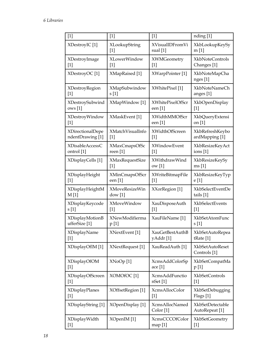| $[1]$                  | $[1]$                  | $[1]$                       | nding [1]                              |
|------------------------|------------------------|-----------------------------|----------------------------------------|
| XDestroyIC [1]         | XLookupString          | <b>XVisualIDFromVi</b>      | XkbLookupKeySy                         |
|                        | $[1]$                  | sual $[1]$                  | m[1]                                   |
| XDestroyImage          | XLowerWindow           | XWMGeometry                 | <b>XkbNoteControls</b>                 |
| $[1]$                  | $[1]$                  | $[1]$                       | Changes [1]                            |
| XDestroyOC[1]          | XMapRaised [1]         | XWarpPointer [1]            | XkbNoteMapCha<br>nges [1]              |
| XDestroyRegion         | XMapSubwindow          | XWhitePixel [1]             | <b>XkbNoteNameCh</b>                   |
| $[1]$                  | s[1]                   |                             | anges [1]                              |
| XDestroySubwind        | XMapWindow [1]         | XWhitePixelOfScr            | XkbOpenDisplay                         |
| ows[1]                 |                        | een [1]                     | $[1]$                                  |
| XDestroyWindow         | XMaskEvent [1]         | XWidthMMOfScr               | XkbQueryExtensi                        |
| $[1]$                  |                        | een [1]                     | on [1]                                 |
| XDirectionalDepe       | XMatchVisualInfo       | XWidthOfScreen              | XkbRefreshKeybo                        |
| ndentDrawing [1]       | $[1]$                  | $[1]$                       | ardMapping [1]                         |
| <b>XDisableAccessC</b> | XMaxCmapsOfSc          | XWindowEvent                | XkbResizeKeyAct                        |
| ontrol [1]             | reen $[1]$             | $[1]$                       | ions $[1]$                             |
| XDisplayCells [1]      | <b>XMaxRequestSize</b> | XWithdrawWind               | XkbResizeKeySy                         |
|                        | $[1]$                  | ow [1]                      | ms[1]                                  |
| XDisplayHeight         | XMinCmapsOfScr         | XWriteBitmapFile            | XkbResizeKeyTyp                        |
| $[1]$                  | een [1]                | $[1]$                       | e [1]                                  |
| XDisplayHeightM        | <b>XMoveResizeWin</b>  | XXorRegion [1]              | XkbSelectEventDe                       |
| M[1]                   | dow[1]                 |                             | tails $[1]$                            |
| XDisplayKeycode        | XMoveWindow            | XauDisposeAuth              | XkbSelectEvents                        |
| s [1]                  | $[1]$                  | $[1]$                       | $[1]$                                  |
| <b>XDisplayMotionB</b> | XNewModifierma         | XauFileName [1]             | XkbSetAtomFunc                         |
| ufferSize [1]          | p[1]                   |                             | s[1]                                   |
| XDisplayName           | XNextEvent [1]         | <b>XauGetBestAuthB</b>      | XkbSetAutoRepea                        |
| $[1]$                  |                        | yAddr[1]                    | tRate <sup>[1]</sup>                   |
| XDisplayOfIM [1]       | XNextRequest [1]       | XauReadAuth [1]             | <b>XkbSetAutoReset</b><br>Controls [1] |
| <b>XDisplayOfOM</b>    | XNoOp[1]               | XcmsAddColorSp              | XkbSetCompatMa                         |
| $[1]$                  |                        | ace <sub>[1]</sub>          | p [1]                                  |
| XDisplayOfScreen       | XOMOfOC <sup>[1]</sup> | XcmsAddFunctio              | <b>XkbSetControls</b>                  |
| $[1]$                  |                        | nSet[1]                     | $[1]$                                  |
| <b>XDisplayPlanes</b>  | XOffsetRegion [1]      | XcmsAllocColor              | XkbSetDebugging                        |
| $[1]$                  |                        | $[1]$                       | Flags [1]                              |
| XDisplayString [1]     | XOpenDisplay [1]       | XcmsAllocNamed<br>Color [1] | XkbSetDetectable<br>AutoRepeat [1]     |
| XDisplayWidth          | XOpenIM [1]            | XcmsCCCOfColor              | <b>XkbSetGeometry</b>                  |
| $[1]$                  |                        | map [1]                     | $[1]$                                  |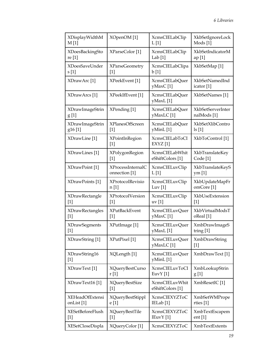| XDisplayWidthM            | XOpenOM [1]                         | XcmsCIELabClip                                | XkbSetIgnoreLock              |
|---------------------------|-------------------------------------|-----------------------------------------------|-------------------------------|
| M[1]                      |                                     | L[1]                                          | Mods [1]                      |
| XDoesBackingSto           | XParseColor [1]                     | XcmsCIELabClip                                | XkbSetIndicatorM              |
| re [1]                    |                                     | Lab $[1]$                                     | ap[1]                         |
| XDoesSaveUnder            | <b>XParseGeometry</b>               | XcmsCIELabClipa                               | XkbSetMap <sup>[1]</sup>      |
| s[1]                      | $[1]$                               | b[1]                                          |                               |
| XDrawArc <sup>[1]</sup>   | XPeekEvent [1]                      | XcmsCIELabQuer<br>yMaxC[1]                    | XkbSetNamedInd<br>icator [1]  |
| XDrawArcs [1]             | XPeekIfEvent [1]                    | <b>XcmsCIELabQuer</b><br>yMaxL[1]             | XkbSetNames [1]               |
| XDrawImageStrin           | XPending [1]                        | <b>XcmsCIELabQuer</b>                         | XkbSetServerInter             |
| g[1]                      |                                     | yMaxLC[1]                                     | nalMods <sup>[1]</sup>        |
| XDrawImageStrin           | <b>XPlanesOfScreen</b>              | <b>XcmsCIELabQuer</b>                         | <b>XkbSetXlibContro</b>       |
| g <sub>16</sub> [1]       | $[1]$                               | yMinL[1]                                      | $\lfloor 1 \rfloor$           |
| XDrawLine [1]             | XPointInRegion<br>$\lceil 1 \rceil$ | <b>XcmsCIELabToCI</b><br>$EXYZ$ [1]           | XkbToControl [1]              |
| XDrawLines <sup>[1]</sup> | XPolygonRegion                      | <b>XcmsCIELabWhit</b>                         | XkbTranslateKey               |
|                           | $\lceil 1 \rceil$                   | eShiftColors [1]                              | Code <sup>[1]</sup>           |
| XDrawPoint [1]            | <b>XProcessInternalC</b>            | XcmsCIELuvClip                                | XkbTranslateKeyS              |
|                           | onnection [1]                       | L[1]                                          | ym <sub>[1]</sub>             |
| XDrawPoints [1]           | XProtocolRevisio                    | XcmsCIELuvClip                                | XkbUpdateMapFr                |
|                           | n [1]                               | Luv $[1]$                                     | omCore <sup>[1]</sup>         |
| <b>XDrawRectangle</b>     | XProtocolVersion                    | XcmsCIELuvClip                                | XkbUseExtension               |
| $[1]$                     | $\lceil 1 \rceil$                   | $uv$ [1]                                      | $\lceil 1 \rceil$             |
| <b>XDrawRectangles</b>    | <b>XPutBackEvent</b>                | XcmsCIELuvQuer                                | XkbVirtualModsT               |
| $[1]$                     | $[1]$                               | yMaxC[1]                                      | oReal [1]                     |
| <b>XDrawSegments</b>      | XPutImage <sup>[1]</sup>            | XcmsCIELuvQuer                                | <b>XmbDrawImageS</b>          |
| $[1]$                     |                                     | yMaxL[1]                                      | tring $[1]$                   |
| XDrawString [1]           | XPutPixel [1]                       | XcmsCIELuvQuer<br>yMaxLC[1]                   | <b>XmbDrawString</b><br>$[1]$ |
| XDrawString16<br>$[1]$    | XQLength [1]                        | XcmsCIELuvQuer<br>yMinL[1]                    | XmbDrawText [1]               |
| XDrawText <sup>[1]</sup>  | XQueryBestCurso                     | <b>XcmsCIELuvToCI</b>                         | XmbLookupStrin                |
|                           | r[1]                                | EuvY[1]                                       | g[1]                          |
| XDrawText16[1]            | <b>XQueryBestSize</b><br>$[1]$      | XcmsCIELuvWhit<br>eShiftColors <sup>[1]</sup> | XmbResetIC [1]                |
| <b>XEHeadOfExtensi</b>    | <b>XQueryBestStippl</b>             | <b>XcmsCIEXYZToC</b>                          | XmbSetWMPrope                 |
| onList <sup>[1]</sup>     | e [1]                               | IELab <sup>[1]</sup>                          | rties [1]                     |
| <b>XESetBeforeFlush</b>   | XQueryBestTile                      | <b>XcmsCIEXYZToC</b>                          | XmbTextEscapem                |
| $[1]$                     | $[1]$                               | IEuvY [1]                                     | ent <sub>[1]</sub>            |
| <b>XESetCloseDispla</b>   | XQueryColor [1]                     | <b>XcmsCIEXYZToC</b>                          | <b>XmbTextExtents</b>         |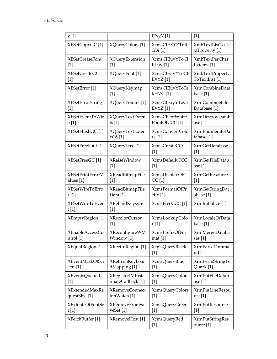| y [1]                     |                            | IExyY [1]                       | $[1]$                                    |
|---------------------------|----------------------------|---------------------------------|------------------------------------------|
| XESetCopyGC [1]           | XQueryColors [1]           | <b>XcmsCIEXYZToR</b><br>GBi [1] | <b>XmbTextListToTe</b><br>xtProperty [1] |
| <b>XESetCreateFont</b>    | XQueryExtension            | <b>XcmsCIEuvYToCI</b>           | <b>XmbTextPerChar</b>                    |
| $[1]$                     | $[1]$                      | ELuv[1]                         | Extents [1]                              |
| <b>XESetCreateGC</b>      | XQueryFont [1]             | <b>XcmsCIEuvYToCI</b>           | <b>XmbTextProperty</b>                   |
| $[1]$                     |                            | $EXYZ$ [1]                      | ToTextList [1]                           |
| XESetError <sup>[1]</sup> | XQueryKeymap               | <b>XcmsCIEuvYToTe</b>           | XrmCombineData                           |
|                           | $[1]$                      | kHVC[1]                         | base $[1]$                               |
| <b>XESetErrorString</b>   | XQueryPointer [1]          | <b>XcmsCIExyYToCI</b>           | <b>XrmCombineFile</b>                    |
| $[1]$                     |                            | $EXYZ$ [1]                      | Database [1]                             |
| XESetEventToWir           | XQueryTextExten            | <b>XcmsClientWhite</b>          | <b>XrmDestroyDatab</b>                   |
| e [1]                     | ts $[1]$                   | PointOfCCC <sup>[1]</sup>       | ase $[1]$                                |
| XESetFlushGC [1]          | XQueryTextExten            | XcmsConvertColo                 | XrmEnumerateDa                           |
|                           | ts16[1]                    | rs [1]                          | tabase [1]                               |
| XESetFreeFont [1]         | XQueryTree [1]             | <b>XcmsCreateCCC</b><br>$[1]$   | <b>XrmGetDatabase</b><br>$[1]$           |
| XESetFreeGC [1]           | <b>XRaiseWindow</b>        | <b>XcmsDefaultCCC</b>           | <b>XrmGetFileDatab</b>                   |
|                           | $[1]$                      | $[1]$                           | ase $[1]$                                |
| <b>XESetPrintErrorV</b>   | XReadBitmapFile            | <b>XcmsDisplayOfC</b>           | <b>XrmGetResource</b>                    |
| alues [1]                 | $[1]$                      | CC[1]                           | $[1]$                                    |
| <b>XESetWireToErro</b>    | XReadBitmapFile            | XcmsFormatOfPr                  | <b>XrmGetStringDat</b>                   |
| r[1]                      | Data <sup>[1]</sup>        | efix[1]                         | abase [1]                                |
| XESetWireToEven<br>t[1]   | XRebindKeysym<br>$[1]$     | XcmsFreeCCC <sup>[1]</sup>      | XrmInitialize [1]                        |
| XEmptyRegion [1]          | XRecolorCursor             | XcmsLookupColo                  | XrmLocaleOfData                          |
|                           | $[1]$                      | r [1]                           | base [1]                                 |
| <b>XEnableAccessCo</b>    | <b>XReconfigureWM</b>      | XcmsPrefixOfFor                 | XrmMergeDataba                           |
| ntrol [1]                 | Window [1]                 | mat $[1]$                       | $\text{ses}[1]$                          |
| XEqualRegion [1]          | XRectInRegion [1]          | <b>XcmsQueryBlack</b><br>$[1]$  | XrmParseComma<br>nd [1]                  |
| <b>XEventMaskOfScr</b>    | XRefreshKeyboar            | XcmsQueryBlue                   | XrmPermStringTo                          |
| een [1]                   | dMapping [1]               | $[1]$                           | Quark [1]                                |
| XEventsQueued             | <b>XRegisterIMInsta</b>    | XcmsQueryColor                  | XrmPutFileDatab                          |
| $[1]$                     | ntiateCallback [1]         | $[1]$                           | ase $[1]$                                |
| <b>XExtendedMaxRe</b>     | <b>XRemoveConnect</b>      | XcmsQueryColors                 | <b>XrmPutLineResou</b>                   |
| questSize [1]             | ionWatch [1]               | $[1]$                           | rce [1]                                  |
| <b>XExtentsOfFontSe</b>   | XRemoveFromSa              | XcmsQueryGreen                  | <b>XrmPutResource</b>                    |
| t[1]                      | veSet <sup>[1]</sup>       | $[1]$                           | $[1]$                                    |
| XFetchBuffer [1]          | XRemoveHost <sup>[1]</sup> | XcmsQueryRed<br>$[1]$           | <b>XrmPutStringRes</b><br>ource [1]      |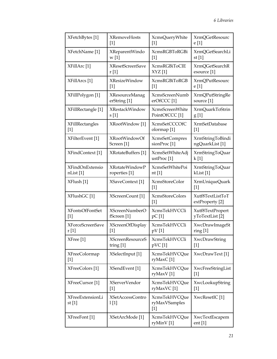| XFetchBytes <sup>[1]</sup>    | <b>XRemoveHosts</b>             | XcmsQueryWhite                          | <b>XrmQGetResourc</b>                |
|-------------------------------|---------------------------------|-----------------------------------------|--------------------------------------|
|                               | $[1]$                           | $[1]$                                   | e [1]                                |
| XFetchName [1]                | XReparentWindo                  | <b>XcmsRGBToRGBi</b>                    | XrmQGetSearchLi                      |
|                               | w[1]                            | $[1]$                                   | st $[1]$                             |
| XFillArc [1]                  | <b>XResetScreenSave</b>         | <b>XcmsRGBiToCIE</b>                    | XrmQGetSearchR                       |
|                               | r[1]                            | XYZ[1]                                  | esource [1]                          |
| XFillArcs [1]                 | <b>XResizeWindow</b>            | <b>XcmsRGBiToRGB</b>                    | <b>XrmQPutResourc</b>                |
|                               | $[1]$                           | $[1]$                                   | e [1]                                |
| XFillPolygon [1]              | <b>XResourceManag</b>           | <b>XcmsScreenNumb</b>                   | XrmQPutStringRe                      |
|                               | erString [1]                    | erOfCCC <sup>[1]</sup>                  | source [1]                           |
| XFillRectangle [1]            | XRestackWindow                  | XcmsScreenWhite                         | XrmQuarkToStrin                      |
|                               | s[1]                            | PointOfCCC <sup>[1]</sup>               | g[1]                                 |
| <b>XFillRectangles</b>        | XRootWindow [1]                 | <b>XcmsSetCCCOfC</b>                    | <b>XrmSetDatabase</b>                |
| $[1]$                         |                                 | olormap <sup>[1]</sup>                  | $[1]$                                |
| XFilterEvent [1]              | XRootWindowOf                   | <b>XcmsSetCompres</b>                   | XrmStringToBindi                     |
|                               | Screen <sup>[1]</sup>           | sionProc <sup>[1]</sup>                 | ngQuarkList[1]                       |
| XFindContext [1]              | XRotateBuffers [1]              | XcmsSetWhiteAdj<br>ustProc $[1]$        | XrmStringToQuar<br>k[1]              |
| <b>XFindOnExtensio</b>        | <b>XRotateWindowP</b>           | XcmsSetWhitePoi                         | XrmStringToQuar                      |
| nList [1]                     | roperties [1]                   | nt [1]                                  | kList <sup>[1]</sup>                 |
| XFlush [1]                    | XSaveContext [1]                | XcmsStoreColor<br>$[1]$                 | XrmUniqueQuark<br>$\lceil 1 \rceil$  |
| XFlushGC [1]                  | XScreenCount [1]                | XcmsStoreColors<br>[1]                  | Xutf8TextListToT<br>extProperty [2]  |
| <b>XFontsOfFontSet</b>        | <b>XScreenNumberO</b>           | <b>XcmsTekHVCCli</b>                    | Xutf8TextPropert                     |
| $[1]$                         | fScreen [1]                     | $pC$ [1]                                | yToTextList [2]                      |
| <b>XForceScreenSave</b>       | <b>XScreenOfDisplay</b>         | <b>XcmsTekHVCCli</b>                    | XwcDrawImageSt                       |
| r [1]                         | $[1]$                           | pV[1]                                   | ring[1]                              |
| XFree [1]                     | <b>XScreenResourceS</b>         | <b>XcmsTekHVCCli</b>                    | XwcDrawString                        |
|                               | triangle [1]                    | pVC[1]                                  | $[1]$                                |
| <b>XFreeColormap</b><br>$[1]$ | XSelectInput [1]                | XcmsTekHVCQue<br>ryMaxC[1]              | XwcDrawText <sup>[1]</sup>           |
| XFreeColors <sup>[1]</sup>    | XSendEvent <sup>[1]</sup>       | <b>XcmsTekHVCQue</b><br>ryMaxV[1]       | XwcFreeStringList<br>$[1]$           |
| XFreeCursor <sup>[1]</sup>    | <b>XServerVendor</b>            | <b>XcmsTekHVCQue</b>                    | XwcLookupString                      |
|                               | $[1]$                           | ryMaxVC [1]                             | $[1]$                                |
| XFreeExtensionLi<br>st $[1]$  | <b>XSetAccessContro</b><br>1[1] | XcmsTekHVCQue<br>ryMaxVSamples<br>$[1]$ | XwcResetIC <sup>[1]</sup>            |
| XFreeFont <sup>[1]</sup>      | XSetArcMode <sup>[1]</sup>      | XcmsTekHVCQue<br>ryMinV[1]              | XwcTextEscapem<br>ent <sub>[1]</sub> |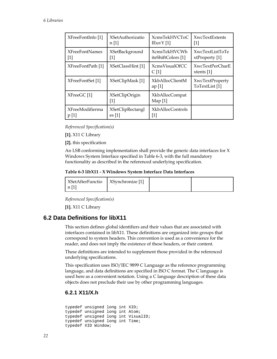<span id="page-21-0"></span>

| XFreeFontInfo [1]      | <b>XSetAuthorizatio</b>        | <b>XcmsTekHVCToC</b>               | <b>XwcTextExtents</b>                    |
|------------------------|--------------------------------|------------------------------------|------------------------------------------|
|                        | n[1]                           | I EuvY[1]                          | 1                                        |
| <b>XFreeFontNames</b>  | <b>XSetBackground</b>          | <b>XcmsTekHVCWh</b>                | XwcTextListToTe                          |
| $[1]$                  | $[1]$                          | iteShiftColors [1]                 | xtProperty [1]                           |
| XFreeFontPath [1]      | XSetClassHint [1]              | XcmsVisualOfCC<br>C[1]             | <b>XwcTextPerCharE</b><br>xtents $[1]$   |
| XFreeFontSet [1]       | XSetClipMask [1]               | <b>XkbAllocClientM</b><br>ap[1]    | <b>XwcTextProperty</b><br>ToTextList [1] |
| XFreeGC[1]             | <b>XSetClipOrigin</b><br>$[1]$ | <b>XkbAllocCompat</b><br>Map $[1]$ |                                          |
| <b>XFreeModifierma</b> | <b>XSetClipRectangl</b>        | XkbAllocControls                   |                                          |
| p[1]                   | $\operatorname{es}[1]$         | [1]                                |                                          |

*Referenced Specification(s)* 

**[1].** [X11 C Library](#page-0-0)

**[2].** [this specification](#page-0-0)

An LSB conforming implementation shall provide the generic data interfaces for X Windows System Interface specified in [Table 6-3,](#page-21-0) with the full mandatory functionality as described in the referenced underlying specification.

#### **Table 6-3 libX11 - X Windows System Interface Data Interfaces**

| <b>XSetAfterFunctio</b> | XSynchronize [1] |  |
|-------------------------|------------------|--|
| $\lfloor n \rfloor$     |                  |  |

*Referenced Specification(s)* 

**[1].** [X11 C Library](#page-0-0)

### **6.2 Data Definitions for libX11**

This section defines global identifiers and their values that are associated with interfaces contained in libX11. These definitions are organized into groups that correspond to system headers. This convention is used as a convenience for the reader, and does not imply the existence of these headers, or their content.

These definitions are intended to supplement those provided in the referenced underlying specifications.

This specification uses ISO/IEC 9899 C Language as the reference programming language, and data definitions are specified in ISO C format. The C language is used here as a convenient notation. Using a C language description of these data objects does not preclude their use by other programming languages.

## **6.2.1 X11/X.h**

typedef unsigned long int XID; typedef unsigned long int Atom; typedef unsigned long int VisualID; typedef unsigned long int Time; typedef XID Window;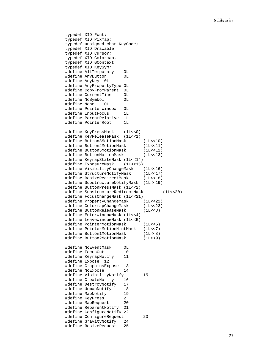```
typedef XID Font; 
typedef XID Pixmap; 
typedef unsigned char KeyCode; 
typedef XID Drawable; 
typedef XID Cursor; 
typedef XID Colormap; 
typedef XID GContext; 
typedef XID KeySym; 
#define AllTemporary 0L 
#define AnyButton 0L 
#define AnyKey 0L 
#define AnyPropertyType 0L 
#define CopyFromParent 0L 
#define CurrentTime 0L 
#define NoSymbol
#define None 0L 
#define PointerWindow 0L 
#define InputFocus 1L 
#define ParentRelative 1L 
#define PointerRoot 1L 
#define KeyPressMask (1L<<0) 
#define KeyReleaseMask (1L<<1) 
#define Button3MotionMask (1L<<10) 
#define Button4MotionMask (1L<<11) 
#define Button5MotionMask (1L<<12) 
#define ButtonMotionMask (1L<<13) 
#define KeymapStateMask (1L<<14) 
#define ExposureMask (1L<<15) 
#define VisibilityChangeMask (1L<<16) 
#define StructureNotifyMask (1L<<17) 
#define ResizeRedirectMask
#define SubstructureNotifyMask (1L<<19) 
#define ButtonPressMask (1L<<2) 
#define SubstructureRedirectMask (1L<<20) 
#define FocusChangeMask (1L<<21) 
#define PropertyChangeMask
#define ColormapChangeMask (1L<<23) 
#define ButtonReleaseMask (1L<<3) 
#define EnterWindowMask (1L<<4) 
#define LeaveWindowMask (1L<<5) 
#define PointerMotionMask (1L<<6) 
#define PointerMotionHintMask
#define Button1MotionMask (1L<<8) 
#define Button2MotionMask (1L<<9) 
#define NoEventMask 0L 
#define FocusOut 10 
#define KeymapNotify 11 
#define Expose 12 
#define GraphicsExpose 13 
#define NoExpose 14 
#define VisibilityNotify 15 
#define CreateNotify 16 
#define DestroyNotify 17 
#define UnmapNotify 18 
#define MapNotify 19 
#define KeyPress 2 
#define MapRequest 20 
#define ReparentNotify 21 
#define ConfigureNotify 22 
#define ConfigureRequest 23 
#define GravityNotify 24 
#define ResizeRequest 25
```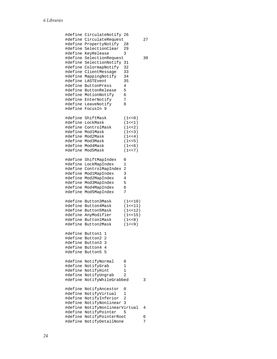| #define | CirculateNotify        | 26       |    |
|---------|------------------------|----------|----|
| #define | CirculateRequest       |          | 27 |
| #define | PropertyNotify         | 28       |    |
| #define | SelectionClear         | 29       |    |
| #define | KeyRelease             | 3        |    |
| #define | SelectionRequest       |          | 30 |
| #define | SelectionNotify        | 31       |    |
| #define | ColormapNotify         | 32       |    |
| #define | ClientMessage          | 33       |    |
| #define | MappingNotify          | 34       |    |
| #define | LASTEvent              | 35       |    |
| #define | ButtonPress            | 4        |    |
| #define | ButtonRelease          | 5        |    |
| #define | MotionNotify           | 6        |    |
|         |                        | 7        |    |
| #define | EnterNotify            |          |    |
| #define | LeaveNotify            | 8        |    |
| #define | FocusIn<br>9           |          |    |
|         |                        |          |    |
| #define | ShiftMask              | (1 < 0)  |    |
| #define | LockMask               | (1 < 1)  |    |
| #define | ControlMask            | (1 < 2)  |    |
| #define | ModlMask               | (1 < 3)  |    |
| #define | Mod2Mask               | (1 < 4)  |    |
| #define | Mod3Mask               | (1 < 5)  |    |
| #define | Mod4Mask               | (1 < 6)  |    |
| #define | Mod5Mask               | (1 < 7)  |    |
|         |                        |          |    |
| #define | ShiftMapIndex          | 0        |    |
| #define | LockMapIndex           | 1        |    |
| #define | ControlMapIndex        | 2        |    |
| #define |                        | 3        |    |
|         | Mod1MapIndex           |          |    |
| #define | Mod2MapIndex           | 4        |    |
| #define | Mod3MapIndex           | 5        |    |
| #define | Mod4MapIndex           | 6        |    |
| #define | Mod5MapIndex           | 7        |    |
|         |                        |          |    |
| #define | Button3Mask            | (1<10)   |    |
| #define | Button4Mask            | (1 < 11) |    |
| #define | Button5Mask            | (1 < 12) |    |
| #define | AnyModifier            | (1 < 15) |    |
| #define | <b>Button1Mask</b>     | (1 < 8)  |    |
| #define | Button2Mask            | (1 < 9)  |    |
|         |                        |          |    |
| #define | Button1<br>1           |          |    |
| #define | Button2<br>2           |          |    |
| #define | 3<br>Button3           |          |    |
| #define | Button4<br>4           |          |    |
| #define | Button5<br>5           |          |    |
|         |                        |          |    |
| #define |                        | 0        |    |
|         | NotifyNormal           |          |    |
| #define | NotifyGrab             | 1        |    |
| #define | NotifyHint             | 1        |    |
| #define | NotifyUngrab           | 2        |    |
| #define | NotifyWhileGrabbed     |          | 3  |
|         |                        |          |    |
| #define | NotifyAncestor         | 0        |    |
| #define | NotifyVirtual          | 1        |    |
| #define | NotifyInferior         | 2        |    |
| #define | NotifyNonlinear        | 3        |    |
| #define | NotifyNonlinearVirtual |          | 4  |
| #define | NotifyPointer          | 5        |    |
| #define | NotifyPointerRoot      |          | 6  |
| #define | NotifyDetailNone       |          | 7  |
|         |                        |          |    |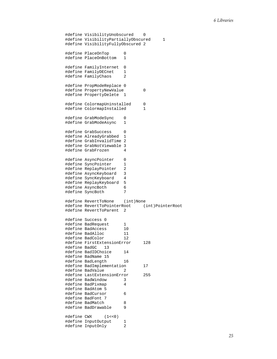```
#define VisibilityUnobscured 0 
#define VisibilityPartiallyObscured 1 
#define VisibilityFullyObscured 2 
#define PlaceOnTop 0 
#define PlaceOnBottom 1 
#define FamilyInternet 0<br>#define FamilyDECnet 1
#define FamilyDECnet 1 
#define FamilyChaos 2 
#define PropModeReplace 0 
#define PropertyNewValue 0 
#define PropertyDelete 1 
#define ColormapUninstalled 0
#define ColormapInstalled 1
#define GrabModeSync 0 
#define GrabModeAsync 1 
#define GrabSuccess 0 
#define AlreadyGrabbed 1 
#define GrabInvalidTime 2 
#define GrabNotViewable 3 
#define GrabFrozen 4 
#define AsyncPointer 0 
#define SyncPointer 1<br>#define ReplayPointer 2
#define ReplayPointer 2 
#define AsyncKeyboard 3 
#define SyncKeyboard 4 
#define ReplayKeyboard 5<br>#define AsyncBoth 6
#define AsyncBoth 6<br>#define SyncBoth 7
#define SyncBoth 7 
#define RevertToNone (int)None 
#define RevertToPointerRoot (int)PointerRoot 
#define RevertToParent 2 
#define Success 0 
#define BadRequest 1 
#define BadAccess 10 
#define BadAlloc 11 
#define BadColor 12 
#define FirstExtensionError 128 
#define BadGC 13 
#define BadIDChoice 14 
#define BadName 15 
#define BadLength 16 
#define BadImplementation 17 
#define BadValue 2
#define LastExtensionError 255 
#define BadWindow 3 
#define BadPixmap 4 
#define BadAtom 5 
#define BadCursor 6 
#define BadFont 7 
#define BadMatch 8 
#define BadDrawable 9 
#define CWX (1<<0) 
#define InputOutput 1<br>#define InputOnly 2
#define InputOnly 2
```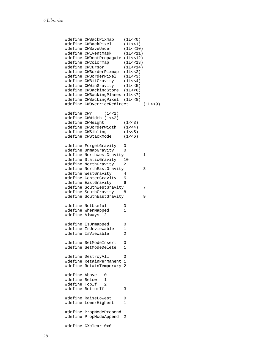```
#define CWBackPixmap (1L<<0) 
#define CWBackPixel (1L<<1) 
#define CWSaveUnder (1L<<10) 
#define CWEventMask (1L<<11) 
#define CWDontPropagate (1L<<12) 
#define CWColormap (1L<<13) 
#define CWCursor
#define CWBorderPixmap (1L<<2) 
#define CWBorderPixel (1L<<3) 
#define CWBitGravity (1L<<4) 
#define CWWinGravity (1L<<5) 
#define CWBackingStore (1L<<6) 
#define CWBackingPlanes (1L<<7) 
#define CWBackingPixel (1L<<8) 
#define CWOverrideRedirect
#define CWY (1<<1) 
#define CWWidth (1<<2) 
#define CWHeight (1<<3) 
#define CWBorderWidth (1<<4) 
#define CWSibling (1<<5) 
#define CWStackMode (1<<6) 
#define ForgetGravity 0 
#define UnmapGravity 0 
#define NorthWestGravity 1
#define StaticGravity 10<br>#define NorthGravity 2
#define NorthGravity 2 
#define NorthEastGravity 3 
#define WestGravity 4 
#define CenterGravity 5 
#define EastGravity 6 
#define SouthWestGravity 7 
#define SouthGravity 8 
#define SouthEastGravity 9 
#define NotUseful 0 
#define WhenMapped 1
#define Always 2 
#define IsUnmapped 0 
#define IsUnviewable 1 
#define IsViewable 2 
#define SetModeInsert 0 
#define SetModeDelete 1 
#define DestroyAll 0 
#define RetainPermanent 1 
#define RetainTemporary 2 
#define Above 0 
#define Below 1 
#define TopIf 2 
#define BottomIf 3 
#define RaiseLowest 0 
#define LowerHighest 1 
#define PropModePrepend 1 
#define PropModeAppend 2 
#define GXclear 0x0
```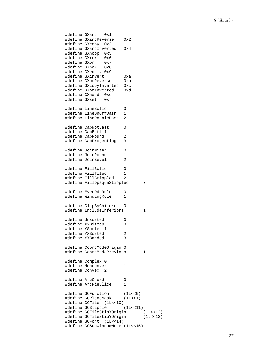```
#define GXand 0x1 
#define GXandReverse 0x2 
#define GXcopy 0x3 
#define GXandInverted 0x4
#define GXnoop 0x5 
.<br>#define GXxor 0x6<br>#define GXor 0x7
#define GXor 0x7 
#define GXnor
#define GXequiv 0x9 
#define GXinvert 0xa 
#define GXorReverse 0xb 
#define GXcopyInverted 0xc 
#define GXorInverted 0xd 
#define GXnand 0xe 
#define GXset
#define LineSolid 0 
#define LineOnOffDash 1 
#define LineDoubleDash 2 
#define CapNotLast 0 
#define CapButt 1 
#define CapRound 2 
#define CapProjecting 3 
#define JoinMiter 0 
#define JoinRound 1<br>#define JoinBevel 2
#define JoinBevel 2 
#define FillSolid 0 
#define FillTiled 1 
#define FillStippled 2 
#define FillOpaqueStippled 3 
#define EvenOddRule 0<br>#define WindingRule 1
#define WindingRule 1 
#define ClipByChildren 0 
#define IncludeInferiors 1 
#define Unsorted 0 
#define XYBitmap 0 
#define YSorted 1 
#define YXSorted 2 
#define YXBanded 3 
#define CoordModeOrigin 0 
#define CoordModePrevious 1 
#define Complex 0 
#define Nonconvex 1 
#define Convex 2 
#define ArcChord 0 
#define ArcPieSlice 1 
#define GCFunction (1L<<0) 
#define GCPlaneMask (1L<<1) 
#define GCTile (1L<<10) 
#define GCStipple (1L<<11) 
#define GCTileStipXOrigin (1L<<12) 
#define GCTileStipYOrigin
#define GCFont (1L<<14) 
#define GCSubwindowMode (1L<<15)
```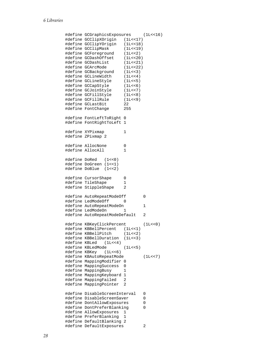```
#define GCGraphicsExposures (1L<<16) 
#define GCClipXOrigin (1L<<17) 
#define GCClipYOrigin (1L<<18) 
#define GCClipMask (1L<<19) 
#define GCForeground (1L<<2) 
#define GCDashOffset (1L<<20) 
#define GCDashList (1L<<21) 
#define GCArcMode
#define GCBackground (1L<<3) 
#define GCLineWidth
#define GCLineStyle (1L<<5) 
#define GCCapStyle
#define GCJoinStyle (1L<<7) 
#define GCFillStyle (1L<<8) 
#define GCFillRule (11<br>#define GCLastBit (22)
#define GCLastBit 22 
#define FontChange 255 
#define FontLeftToRight 0 
#define FontRightToLeft 1 
#define XYPixmap 1 
#define ZPixmap 2 
#define AllocNone 0 
#define AllocAll 1 
#define DoRed (1<<0) 
#define DoGreen (1<<1) 
#define DoBlue (1<<2) 
#define CursorShape 0 
#define TileShape 1 
#define StippleShape 2 
#define AutoRepeatModeOff 0
#define LedModeOff 0
#define AutoRepeatModeOn 1
#define LedModeOn 1
#define AutoRepeatModeDefault 2
#define KBKeyClickPercent (1L<<0) 
#define KBBellPercent (1L<<1) 
#define KBBellPitch (1L<<2) 
#define KBBellDuration (1L<<3) 
#define KBLed (1L<<4) 
#define KBLedMode (1L<<5) 
#define KBKey (1L<<6) 
#define KBAutoRepeatMode (1L<<7) 
#define MappingModifier 0 
#define MappingSuccess 0 
#define MappingBusy 1 
#define MappingKeyboard 1 
#define MappingFailed 2 
#define MappingPointer 2 
#define DisableScreenInterval 0 
#define DisableScreenSaver 0 
#define DontAllowExposures 0 
#define DontPreferBlanking 0 
#define AllowExposures 1 
#define PreferBlanking 1 
#define DefaultBlanking 2 
#define DefaultExposures 2
```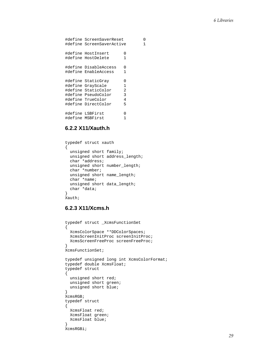```
#define ScreenSaverReset 0 
#define ScreenSaverActive 1 
#define HostInsert 0 
#define HostDelete 1 
#define DisableAccess 0 
#define EnableAccess 1 
#define StaticGray 0 
#define GrayScale 1 
#define StaticColor 2 
#define PseudoColor 3 
#define TrueColor 4 
#define DirectColor 5 
#define LSBFirst 0 
#define MSBFirst 1
```
## **6.2.2 X11/Xauth.h**

```
typedef struct xauth 
{ 
   unsigned short family; 
   unsigned short address_length; 
   char *address; 
   unsigned short number_length; 
   char *number; 
   unsigned short name_length; 
   char *name; 
   unsigned short data_length; 
   char *data; 
} 
Xauth;
```
# **6.2.3 X11/Xcms.h**

```
typedef struct _XcmsFunctionSet 
{ 
   XcmsColorSpace **DDColorSpaces; 
   XcmsScreenInitProc screenInitProc; 
   XcmsScreenFreeProc screenFreeProc; 
} 
XcmsFunctionSet; 
typedef unsigned long int XcmsColorFormat; 
typedef double XcmsFloat; 
typedef struct 
{ 
   unsigned short red; 
   unsigned short green; 
   unsigned short blue; 
} 
XcmsRGB; 
typedef struct 
{ 
   XcmsFloat red; 
   XcmsFloat green; 
   XcmsFloat blue; 
} 
XcmsRGBi;
```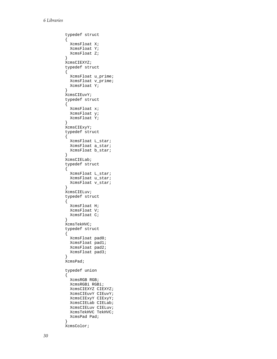```
typedef struct 
{ 
   XcmsFloat X; 
   XcmsFloat Y; 
   XcmsFloat Z; 
} 
XcmsCIEXYZ; 
typedef struct 
{ 
   XcmsFloat u_prime; 
   XcmsFloat v_prime; 
   XcmsFloat Y; 
} 
XcmsCIEuvY; 
typedef struct 
{ 
   XcmsFloat x; 
   XcmsFloat y; 
   XcmsFloat Y; 
} 
XcmsCIExyY; 
typedef struct 
{ 
   XcmsFloat L_star; 
   XcmsFloat a_star; 
   XcmsFloat b_star; 
} 
XcmsCIELab; 
typedef struct 
{ 
   XcmsFloat L_star; 
   XcmsFloat u_star; 
   XcmsFloat v_star; 
} 
XcmsCIELuv; 
typedef struct 
{ 
   XcmsFloat H; 
   XcmsFloat V; 
   XcmsFloat C; 
} 
XcmsTekHVC; 
typedef struct 
{ 
   XcmsFloat pad0; 
   XcmsFloat pad1; 
   XcmsFloat pad2; 
   XcmsFloat pad3; 
} 
XcmsPad; 
typedef union 
{ 
   XcmsRGB RGB; 
   XcmsRGBi RGBi; 
   XcmsCIEXYZ CIEXYZ; 
   XcmsCIEuvY CIEuvY; 
   XcmsCIExyY CIExyY; 
   XcmsCIELab CIELab; 
   XcmsCIELuv CIELuv; 
   XcmsTekHVC TekHVC; 
   XcmsPad Pad; 
} 
XcmsColor;
```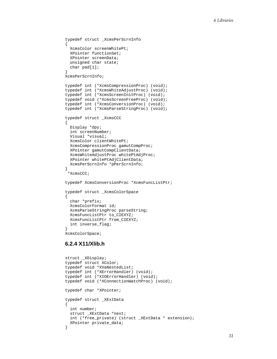```
typedef struct _XcmsPerScrnInfo 
{ 
   XcmsColor screenWhitePt; 
   XPointer functionSet; 
   XPointer screenData; 
   unsigned char state; 
   char pad[1]; 
} 
XcmsPerScrnInfo; 
typedef int (*XcmsCompressionProc) (void); 
typedef int (*XcmsWhiteAdjustProc) (void); 
typedef int (*XcmsScreenInitProc) (void); 
typedef void (*XcmsScreenFreeProc) (void); 
typedef int (*XcmsConversionProc) (void); 
typedef int (*XcmsParseStringProc) (void); 
typedef struct _XcmsCCC 
{ 
   Display *dpy; 
   int screenNumber; 
   Visual *visual; 
   XcmsColor clientWhitePt; 
   XcmsCompressionProc gamutCompProc; 
   XPointer gamutCompClientData; 
   XcmsWhiteAdjustProc whitePtAdjProc; 
   XPointer whitePtAdjClientData; 
  XcmsPerScrnInfo *pPerScrnInfo; 
} 
  *XcmsCCC; 
typedef XcmsConversionProc *XcmsFuncListPtr; 
typedef struct _XcmsColorSpace 
{ 
   char *prefix; 
   XcmsColorFormat id; 
   XcmsParseStringProc parseString; 
   XcmsFuncListPtr to_CIEXYZ; 
   XcmsFuncListPtr from_CIEXYZ; 
   int inverse_flag; 
} 
XcmsColorSpace;
```
## **6.2.4 X11/Xlib.h**

```
struct _XDisplay; 
typedef struct XColor; 
typedef void *XVaNestedList; 
typedef int (*XErrorHandler) (void); 
typedef int (*XIOErrorHandler) (void); 
typedef void (*XConnectionWatchProc) (void); 
typedef char *XPointer; 
typedef struct _XExtData 
{ 
  int number; 
  struct _XExtData *next; 
   int (*free_private) (struct _XExtData * extension); 
  XPointer private_data; 
}
```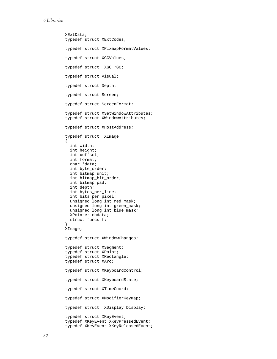```
XExtData; 
typedef struct XExtCodes; 
typedef struct XPixmapFormatValues; 
typedef struct XGCValues; 
typedef struct _XGC *GC; 
typedef struct Visual; 
typedef struct Depth; 
typedef struct Screen; 
typedef struct ScreenFormat; 
typedef struct XSetWindowAttributes; 
typedef struct XWindowAttributes; 
typedef struct XHostAddress; 
typedef struct _XImage 
{ 
   int width; 
   int height; 
   int xoffset; 
   int format; 
   char *data; 
   int byte_order; 
   int bitmap_unit; 
   int bitmap_bit_order; 
   int bitmap_pad; 
   int depth; 
   int bytes_per_line; 
   int bits_per_pixel; 
   unsigned long int red_mask; 
   unsigned long int green_mask; 
   unsigned long int blue_mask; 
   XPointer obdata; 
   struct funcs f; 
} 
XImage; 
typedef struct XWindowChanges; 
typedef struct XSegment; 
typedef struct XPoint; 
typedef struct XRectangle; 
typedef struct XArc; 
typedef struct XKeyboardControl; 
typedef struct XKeyboardState; 
typedef struct XTimeCoord; 
typedef struct XModifierKeymap; 
typedef struct _XDisplay Display; 
typedef struct XKeyEvent; 
typedef XKeyEvent XKeyPressedEvent; 
typedef XKeyEvent XKeyReleasedEvent;
```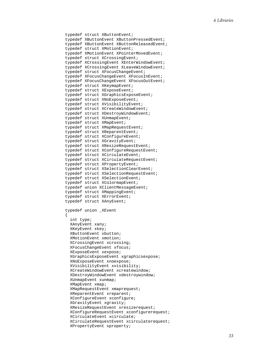```
typedef struct XButtonEvent; 
typedef XButtonEvent XButtonPressedEvent; 
typedef XButtonEvent XButtonReleasedEvent; 
typedef struct XMotionEvent; 
typedef XMotionEvent XPointerMovedEvent; 
typedef struct XCrossingEvent; 
typedef XCrossingEvent XEnterWindowEvent; 
typedef XCrossingEvent XLeaveWindowEvent; 
typedef struct XFocusChangeEvent; 
typedef XFocusChangeEvent XFocusInEvent; 
typedef XFocusChangeEvent XFocusOutEvent; 
typedef struct XKeymapEvent; 
typedef struct XExposeEvent; 
typedef struct XGraphicsExposeEvent; 
typedef struct XNoExposeEvent; 
typedef struct XVisibilityEvent; 
typedef struct XCreateWindowEvent; 
typedef struct XDestroyWindowEvent; 
typedef struct XUnmapEvent; 
typedef struct XMapEvent; 
typedef struct XMapRequestEvent; 
typedef struct XReparentEvent; 
typedef struct XConfigureEvent; 
typedef struct XGravityEvent; 
typedef struct XResizeRequestEvent; 
typedef struct XConfigureRequestEvent; 
typedef struct XCirculateEvent; 
typedef struct XCirculateRequestEvent; 
typedef struct XPropertyEvent; 
typedef struct XSelectionClearEvent; 
typedef struct XSelectionRequestEvent; 
typedef struct XSelectionEvent; 
typedef struct XColormapEvent; 
typedef union XClientMessageEvent; 
typedef struct XMappingEvent; 
typedef struct XErrorEvent; 
typedef struct XAnyEvent; 
typedef union _XEvent 
{ 
   int type; 
  XAnyEvent xany; 
  XKeyEvent xkey; 
  XButtonEvent xbutton; 
   XMotionEvent xmotion; 
   XCrossingEvent xcrossing; 
  XFocusChangeEvent xfocus; 
   XExposeEvent xexpose; 
  XGraphicsExposeEvent xgraphicsexpose; 
   XNoExposeEvent xnoexpose; 
   XVisibilityEvent xvisibility; 
   XCreateWindowEvent xcreatewindow; 
   XDestroyWindowEvent xdestroywindow; 
  XUnmapEvent xunmap; 
   XMapEvent xmap; 
   XMapRequestEvent xmaprequest; 
  XReparentEvent xreparent; 
  XConfigureEvent xconfigure; 
  XGravityEvent xgravity; 
  XResizeRequestEvent xresizerequest; 
   XConfigureRequestEvent xconfigurerequest; 
   XCirculateEvent xcirculate; 
  XCirculateRequestEvent xcirculaterequest; 
   XPropertyEvent xproperty;
```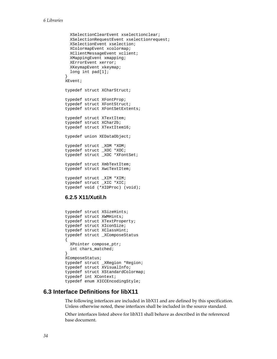```
 XSelectionClearEvent xselectionclear; 
   XSelectionRequestEvent xselectionrequest; 
   XSelectionEvent xselection; 
   XColormapEvent xcolormap; 
   XClientMessageEvent xclient; 
   XMappingEvent xmapping; 
   XErrorEvent xerror; 
   XKeymapEvent xkeymap; 
   long int pad[1]; 
} 
XEvent; 
typedef struct XCharStruct; 
typedef struct XFontProp; 
typedef struct XFontStruct; 
typedef struct XFontSetExtents; 
typedef struct XTextItem; 
typedef struct XChar2b; 
typedef struct XTextItem16; 
typedef union XEDataObject; 
typedef struct _XOM *XOM; 
typedef struct _XOC *XOC; 
typedef struct _XOC *XFontSet; 
typedef struct XmbTextItem; 
typedef struct XwcTextItem; 
typedef struct _XIM *XIM; 
typedef struct _XIC *XIC; 
typedef void (*XIDProc) (void);
```
### **6.2.5 X11/Xutil.h**

```
typedef struct XSizeHints; 
typedef struct XWMHints; 
typedef struct XTextProperty; 
typedef struct XIconSize; 
typedef struct XClassHint; 
typedef struct _XComposeStatus 
{ 
   XPointer compose_ptr; 
   int chars_matched; 
} 
XComposeStatus; 
typedef struct _XRegion *Region; 
typedef struct XVisualInfo; 
typedef struct XStandardColormap; 
typedef int XContext; 
typedef enum XICCEncodingStyle;
```
# **6.3 Interface Definitions for libX11**

The following interfaces are included in libX11 and are defined by this specification. Unless otherwise noted, these interfaces shall be included in the source standard.

Other interfaces listed above for libX11 shall behave as described in the referenced base document.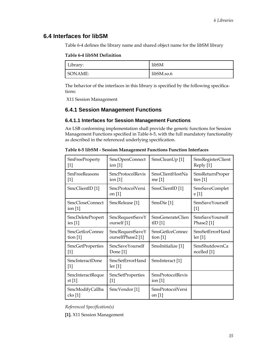# <span id="page-34-0"></span>**6.4 Interfaces for libSM**

[Table 6-4](#page-34-0) defines the library name and shared object name for the libSM library

#### **Table 6-4 libSM Definition**

| Library: | libSM      |
|----------|------------|
| SONAME:  | libSM.so.6 |

The behavior of the interfaces in this library is specified by the following specifications:

[X11 Session Management](#page-0-0)

# **6.4.1 Session Management Functions**

### **6.4.1.1 Interfaces for Session Management Functions**

An LSB conforming implementation shall provide the generic functions for Session Management Functions specified in [Table 6-5](#page-34-0), with the full mandatory functionality as described in the referenced underlying specification.

| <b>SmFreeProperty</b>        | SmcOpenConnect                             | SmsCleanUp [1]               | SmsRegisterClient              |
|------------------------------|--------------------------------------------|------------------------------|--------------------------------|
| $[1]$                        | ion $[1]$                                  |                              | Reply [1]                      |
| <b>SmFreeReasons</b>         | <b>SmcProtocolRevis</b>                    | SmsClientHostNa              | SmsReturnProper                |
| $[1]$                        | ion $[1]$                                  | me [1]                       | ties $[1]$                     |
| SmcClientID [1]              | <b>SmcProtocolVersi</b><br>on $[1]$        | SmsClientID [1]              | <b>SmsSaveComplet</b><br>e [1] |
| SmcCloseConnect<br>ion $[1]$ | SmcRelease [1]                             | SmsDie [1]                   | SmsSaveYourself<br>$[1]$       |
| <b>SmcDeletePropert</b>      | SmcRequestSaveY                            | SmsGenerateClien             | SmsSaveYourself                |
| ies $[1]$                    | ourself [1]                                | tID[1]                       | Phase $2$ [1]                  |
| SmcGetIceConnec              | SmcRequestSaveY                            | <b>SmsGetIceConnec</b>       | SmsSetErrorHand                |
| tion $[1]$                   | ourselfPhase2 <sup>[1]</sup>               | tion $[1]$                   | $\text{ler} \left[1\right]$    |
| SmcGetProperties             | SmcSaveYourself                            | SmsInitialize [1]            | <b>SmsShutdownCa</b>           |
| $[1]$                        | Done [1]                                   |                              | ncelled [1]                    |
| SmcInteractDone<br>$[1]$     | SmcSetErrorHand<br>$\operatorname{ler}[1]$ | SmsInteract [1]              |                                |
| SmcInteractReque             | SmcSetProperties                           | <b>SmsProtocolRevis</b>      |                                |
| st $[1]$                     | $[1]$                                      | ion $[1]$                    |                                |
| SmcModifyCallba<br>$\csc[1]$ | SmcVendor <sup>[1]</sup>                   | SmsProtocolVersi<br>on $[1]$ |                                |

**Table 6-5 libSM - Session Management Functions Function Interfaces** 

*Referenced Specification(s)* 

**[1].** [X11 Session Management](#page-0-0)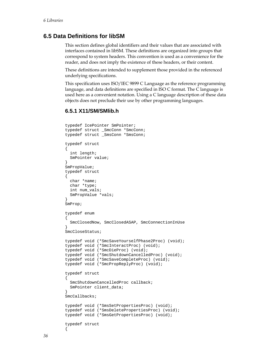### <span id="page-35-0"></span>**6.5 Data Definitions for libSM**

This section defines global identifiers and their values that are associated with interfaces contained in libSM. These definitions are organized into groups that correspond to system headers. This convention is used as a convenience for the reader, and does not imply the existence of these headers, or their content.

These definitions are intended to supplement those provided in the referenced underlying specifications.

This specification uses ISO/IEC 9899 C Language as the reference programming language, and data definitions are specified in ISO C format. The C language is used here as a convenient notation. Using a C language description of these data objects does not preclude their use by other programming languages.

#### **6.5.1 X11/SM/SMlib.h**

```
typedef IcePointer SmPointer; 
typedef struct _SmcConn *SmcConn; 
typedef struct _SmsConn *SmsConn; 
typedef struct 
{ 
   int length; 
  SmPointer value; 
} 
SmPropValue; 
typedef struct 
{ 
  char *name; 
  char *type; 
  int num_vals; 
   SmPropValue *vals; 
} 
SmProp; 
typedef enum 
{ 
   SmcClosedNow, SmcClosedASAP, SmcConnectionInUse 
} 
SmcCloseStatus; 
typedef void (*SmcSaveYourselfPhase2Proc) (void); 
typedef void (*SmcInteractProc) (void); 
typedef void (*SmcDieProc) (void); 
typedef void (*SmcShutdownCancelledProc) (void); 
typedef void (*SmcSaveCompleteProc) (void); 
typedef void (*SmcPropReplyProc) (void); 
typedef struct 
{ 
   SmcShutdownCancelledProc callback; 
   SmPointer client_data; 
} 
SmcCallbacks; 
typedef void (*SmsSetPropertiesProc) (void); 
typedef void (*SmsDeletePropertiesProc) (void); 
typedef void (*SmsGetPropertiesProc) (void); 
typedef struct 
{
```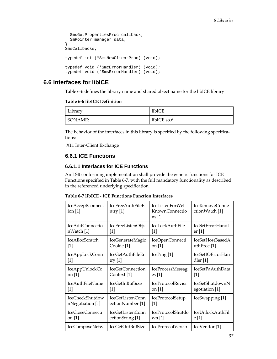```
 SmsGetPropertiesProc callback; 
   SmPointer manager_data; 
} 
SmsCallbacks; 
typedef int (*SmsNewClientProc) (void); 
typedef void (*SmcErrorHandler) (void); 
typedef void (*SmsErrorHandler) (void);
```
# **6.6 Interfaces for libICE**

[Table 6-6](#page-36-0) defines the library name and shared object name for the libICE library

**Table 6-6 libICE Definition** 

| $T \cdot 1$<br>Library: | libICE      |
|-------------------------|-------------|
| SONAME:                 | libICE.so.6 |

The behavior of the interfaces in this library is specified by the following specifications:

[X11 Inter-Client Exchange](#page-0-0)

## **6.6.1 ICE Functions**

### **6.6.1.1 Interfaces for ICE Functions**

An LSB conforming implementation shall provide the generic functions for ICE Functions specified in [Table 6-7,](#page-36-0) with the full mandatory functionality as described in the referenced underlying specification.

**Table 6-7 libICE - ICE Functions Function Interfaces** 

| IceAcceptConnect<br>ion $[1]$ | <b>IceFreeAuthFileE</b><br>ntry $[1]$ | <b>IceListenForWell</b><br><b>KnownConnectio</b><br>$\text{ns}[1]$ | IceRemoveConne<br>ctionWatch [1] |
|-------------------------------|---------------------------------------|--------------------------------------------------------------------|----------------------------------|
| <b>IceAddConnectio</b>        | IceFreeListenObjs                     | IceLockAuthFile                                                    | IceSetErrorHandl                 |
| nWatch [1]                    | $\lceil 1 \rceil$                     | $[1]$                                                              | er <sub>[1]</sub>                |
| <b>IceAllocScratch</b>        | IceGenerateMagic                      | IceOpenConnecti                                                    | IceSetHostBasedA                 |
| $[1]$                         | Cookie <sup>[1]</sup>                 | on [1]                                                             | uthProc <sup>[1]</sup>           |
| <b>IceAppLockConn</b>         | IceGetAuthFileEn                      | IcePing [1]                                                        | <b>IceSetIOErrorHan</b>          |
| [1]                           | try $[1]$                             |                                                                    | dler $[1]$                       |
| IceAppUnlockCo                | IceGetConnection                      | <b>IceProcessMessag</b>                                            | IceSetPaAuthData                 |
| nn[1]                         | Context <sup>[1]</sup>                | $\operatorname{es}[1]$                                             | [1]                              |
| <b>IceAuthFileName</b>        | <b>IceGetInBufSize</b>                | IceProtocolRevisi                                                  | IceSetShutdownN                  |
| $[1]$                         | $[1]$                                 | on $ 1 $                                                           | egotiation [1]                   |
| <b>IceCheckShutdow</b>        | IceGetListenConn                      | IceProtocolSetup                                                   | IceSwapping [1]                  |
| nNegotiation [1]              | ectionNumber [1]                      | $[1]$                                                              |                                  |
| IceCloseConnecti              | IceGetListenConn                      | IceProtocolShutdo                                                  | <b>IceUnlockAuthFil</b>          |
| on $[1]$                      | ectionString [1]                      | wn [1]                                                             | e[1]                             |
| IceComposeNetw                | IceGetOutBufSize                      | IceProtocolVersio                                                  | IceVendor <sup>[1]</sup>         |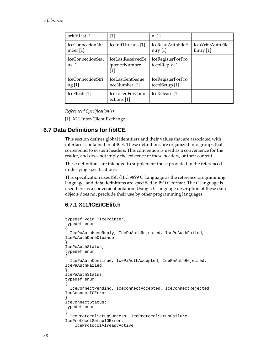<span id="page-37-0"></span>

| orkIdList [1]                        | $[1]$                                      | n[1]                                           |                                 |
|--------------------------------------|--------------------------------------------|------------------------------------------------|---------------------------------|
| IceConnectionNu<br>mber $[1]$        | IceInitThreads [1]                         | <b>IceReadAuthFileE</b><br>$ntry$ [1]          | IceWriteAuthFile<br>Entry $[1]$ |
| IceConnectionStat<br>$\text{us}$ [1] | IceLastReceivedSe<br>quenceNumber<br>$[1]$ | IceRegisterForPro<br>tocolReply [1]            |                                 |
| IceConnectionStri<br>ng [1]          | IceLastSentSeque<br>nceNumber [1]          | IceRegisterForPro<br>tocolSetup <sup>[1]</sup> |                                 |
| IceFlush [1]                         | IceListenForConn<br>ections [1]            | IceRelease <sup>[1]</sup>                      |                                 |

*Referenced Specification(s)* 

**[1].** [X11 Inter-Client Exchange](#page-0-0)

# **6.7 Data Definitions for libICE**

This section defines global identifiers and their values that are associated with interfaces contained in libICE. These definitions are organized into groups that correspond to system headers. This convention is used as a convenience for the reader, and does not imply the existence of these headers, or their content.

These definitions are intended to supplement those provided in the referenced underlying specifications.

This specification uses ISO/IEC 9899 C Language as the reference programming language, and data definitions are specified in ISO C format. The C language is used here as a convenient notation. Using a C language description of these data objects does not preclude their use by other programming languages.

# **6.7.1 X11/ICE/ICElib.h**

```
typedef void *IcePointer; 
typedef enum 
{ 
   IcePoAuthHaveReply, IcePoAuthRejected, IcePoAuthFailed, 
IcePoAuthDoneCleanup 
} 
IcePoAuthStatus; 
typedef enum 
{ 
   IcePaAuthContinue, IcePaAuthAccepted, IcePaAuthRejected, 
IcePaAuthFailed 
} 
IcePaAuthStatus; 
typedef enum 
{ 
   IceConnectPending, IceConnectAccepted, IceConnectRejected, 
IceConnectIOError 
} 
IceConnectStatus; 
typedef enum 
{ 
   IceProtocolSetupSuccess, IceProtocolSetupFailure, 
IceProtocolSetupIOError, 
     IceProtocolAlreadyActive
```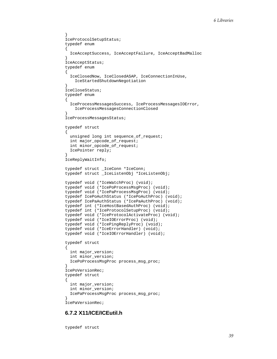```
} 
IceProtocolSetupStatus; 
typedef enum 
{ 
  IceAcceptSuccess, IceAcceptFailure, IceAcceptBadMalloc 
} 
IceAcceptStatus; 
typedef enum 
{ 
   IceClosedNow, IceClosedASAP, IceConnectionInUse, 
     IceStartedShutdownNegotiation 
} 
IceCloseStatus; 
typedef enum 
{ 
   IceProcessMessagesSuccess, IceProcessMessagesIOError, 
     IceProcessMessagesConnectionClosed 
} 
IceProcessMessagesStatus; 
typedef struct 
{ 
   unsigned long int sequence_of_request; 
   int major_opcode_of_request; 
   int minor_opcode_of_request; 
   IcePointer reply; 
} 
IceReplyWaitInfo; 
typedef struct _IceConn *IceConn; 
typedef struct _IceListenObj *IceListenObj; 
typedef void (*IceWatchProc) (void); 
typedef void (*IcePoProcessMsgProc) (void); 
typedef void (*IcePaProcessMsgProc) (void); 
typedef IcePoAuthStatus (*IcePoAuthProc) (void); 
typedef IcePaAuthStatus (*IcePaAuthProc) (void); 
typedef int (*IceHostBasedAuthProc) (void); 
typedef int (*IceProtocolSetupProc) (void); 
typedef void (*IceProtocolActivateProc) (void); 
typedef void (*IceIOErrorProc) (void); 
typedef void (*IcePingReplyProc) (void); 
typedef void (*IceErrorHandler) (void); 
typedef void (*IceIOErrorHandler) (void); 
typedef struct 
{ 
   int major_version; 
   int minor_version; 
   IcePoProcessMsgProc process_msg_proc; 
} 
IcePoVersionRec; 
typedef struct 
{ 
   int major_version; 
   int minor_version; 
   IcePaProcessMsgProc process_msg_proc; 
} 
IcePaVersionRec;
```
#### **6.7.2 X11/ICE/ICEutil.h**

typedef struct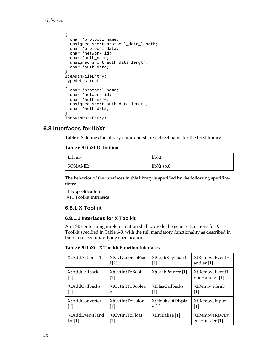```
{ 
  char *protocol_name; 
  unsigned short protocol_data_length; 
  char *protocol_data; 
   char *network_id; 
   char *auth_name; 
   unsigned short auth_data_length; 
   char *auth_data; 
} 
IceAuthFileEntry; 
typedef struct 
\{ char *protocol_name; 
   char *network_id; 
   char *auth_name; 
   unsigned short auth_data_length; 
   char *auth_data; 
} 
IceAuthDataEntry;
```
# **6.8 Interfaces for libXt**

[Table 6-8](#page-39-0) defines the library name and shared object name for the libXt library

#### **Table 6-8 libXt Definition**

| Library: | libXt      |
|----------|------------|
| SONAME:  | libXt.so.6 |

The behavior of the interfaces in this library is specified by the following specifications:

[this specification](#page-0-0) [X11 Toolkit Intrinsics](#page-0-0)

# **6.8.1 X Toolkit**

### **6.8.1.1 Interfaces for X Toolkit**

An LSB conforming implementation shall provide the generic functions for X Toolkit specified in [Table 6-9,](#page-39-0) with the full mandatory functionality as described in the referenced underlying specification.

**Table 6-9 libXt - X Toolkit Function Interfaces** 

| XtAddActions [1]            | XtCytColorToPixe        | XtGrabKeyboard        | <b>XtRemoveEventH</b> |
|-----------------------------|-------------------------|-----------------------|-----------------------|
|                             | 1[1]                    | [1]                   | andler [1]            |
| <b>XtAddCallback</b>        | XtCytIntToBool          | XtGrabPointer [1]     | <b>XtRemoveEventT</b> |
| $[1]$                       | [1]                     |                       | ypeHandler [1]        |
| <b>XtAddCallbacks</b>       | <b>XtCytIntToBoolea</b> | <b>XtHasCallbacks</b> | <b>XtRemoveGrab</b>   |
| $[1]$                       | n [1]                   | $[1]$                 | $[1]$                 |
| XtAddConverter              | XtCytIntToColor         | XtHooksOfDispla       | XtRemoveInput         |
| $[1]$                       | [1]                     | y[1]                  | $[1]$                 |
| <b>XtAddEventHand</b>       | <b>XtCvtIntToFloat</b>  | XtInitialize [1]      | <b>XtRemoveRawEy</b>  |
| $\text{ler} \left[1\right]$ | [1]                     |                       | entHandler [1]        |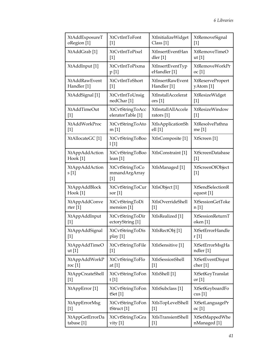| XtAddExposureT           | <b>XtCvtIntToFont</b>                     | XtInitializeWidget       | XtRemoveSignal                       |
|--------------------------|-------------------------------------------|--------------------------|--------------------------------------|
| oRegion [1]              | $[1]$                                     | Class [1]                | $[1]$                                |
| XtAddGrab <sup>[1]</sup> | XtCvtIntToPixel                           | XtInsertEventHan         | XtRemoveTimeO                        |
|                          | $[1]$                                     | dler [1]                 | $ut$ [1]                             |
| XtAddInput [1]           | XtCvtIntToPixma                           | XtInsertEventTyp         | XtRemoveWorkPr                       |
|                          | p [1]                                     | eHandler [1]             | oc [1]                               |
| XtAddRawEvent            | XtCvtIntToShort                           | <b>XtInsertRawEvent</b>  | XtReservePropert                     |
| Handler [1]              | $[1]$                                     | Handler [1]              | yAtom [1]                            |
| XtAddSignal [1]          | XtCvtIntToUnsig                           | XtInstallAccelerat       | XtResizeWidget                       |
|                          | nedChar <sup>[1]</sup>                    | ors [1]                  | $[1]$                                |
| XtAddTimeOut             | XtCvtStringToAcc                          | XtInstallAllAccele       | XtResizeWindow                       |
| $[1]$                    | eleratorTable [1]                         | rators $[1]$             | $[1]$                                |
| XtAddWorkProc            | XtCvtStringToAto                          | <b>XtIsApplicationSh</b> | XtResolvePathna                      |
| $[1]$                    | m[1]                                      | ell[1]                   | me [1]                               |
| XtAllocateGC [1]         | XtCvtStringToBoo<br>1[1]                  | XtIsComposite [1]        | XtScreen [1]                         |
| XtAppAddAction           | XtCvtStringToBoo                          | XtIsConstraint [1]       | XtScreenDatabase                     |
| Hook [1]                 | lean [1]                                  |                          | $[1]$                                |
| XtAppAddAction<br>s[1]   | XtCvtStringToCo<br>mmandArgArray<br>$[1]$ | XtIsManaged [1]          | XtScreenOfObject<br>$[1]$            |
| XtAppAddBlock            | XtCvtStringToCur                          | XtIsObject [1]           | <b>XtSendSelectionR</b>              |
| Hook [1]                 | sor $[1]$                                 |                          | equest [1]                           |
| XtAppAddConve            | XtCvtStringToDi                           | XtIsOverrideShell        | XtSessionGetToke                     |
| rter $[1]$               | mension [1]                               | $[1]$                    | n[1]                                 |
| XtAppAddInput            | XtCvtStringToDir                          | XtIsRealized [1]         | XtSessionReturnT                     |
| $[1]$                    | ectoryString [1]                          |                          | oken [1]                             |
| XtAppAddSignal           | XtCvtStringToDis                          | XtIsRectObj [1]          | XtSetErrorHandle                     |
| $[1]$                    | play [1]                                  |                          | r[1]                                 |
| XtAppAddTimeO            | XtCvtStringToFile                         | XtIsSensitive [1]        | XtSetErrorMsgHa                      |
| ut [1]                   | $[1]$                                     |                          | ndler [1]                            |
| XtAppAddWorkP            | XtCvtStringToFlo                          | XtIsSessionShell         | XtSetEventDispat                     |
| roc $[1]$                | at [1]                                    | $[1]$                    | cher <sup>[1]</sup>                  |
| <b>XtAppCreateShell</b>  | XtCvtStringToFon                          | XtIsShell [1]            | XtSetKeyTranslat                     |
| $[1]$                    | t [1]                                     |                          | or $[1]$                             |
| XtAppError [1]           | XtCvtStringToFon<br>tSet $[1]$            | XtIsSubclass [1]         | XtSetKeyboardFo<br>$\text{cus } [1]$ |
| XtAppErrorMsg            | <b>XtCvtStringToFon</b>                   | XtIsTopLevelShell        | XtSetLanguagePr                      |
| $[1]$                    | tStruct [1]                               | $[1]$                    | oc [1]                               |
| XtAppGetErrorDa          | XtCvtStringToGra                          | XtIsTransientShell       | XtSetMappedWhe                       |
| tabase [1]               | vity $[1]$                                | $[1]$                    | nManaged [1]                         |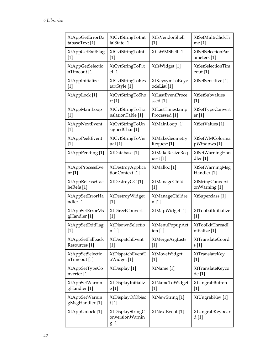| <b>XtAppGetErrorDa</b>               | XtCvtStringToInit                            | <b>XtIsVendorShell</b>        | <b>XtSetMultiClickTi</b>      |
|--------------------------------------|----------------------------------------------|-------------------------------|-------------------------------|
| tabaseText [1]                       | ialState [1]                                 | $[1]$                         | me [1]                        |
| XtAppGetExitFlag                     | XtCvtStringToInt                             | XtIsWMShell [1]               | XtSetSelectionPar             |
| $[1]$                                | $\lceil 1 \rceil$                            |                               | ameters [1]                   |
| <b>XtAppGetSelectio</b>              | <b>XtCvtStringToPix</b>                      | XtIsWidget [1]                | XtSetSelectionTim             |
| nTimeout [1]                         | el[1]                                        |                               | eout $[1]$                    |
| XtAppInitialize                      | <b>XtCvtStringToRes</b>                      | XtKeysymToKeyc                | XtSetSensitive <sup>[1]</sup> |
| $[1]$                                | tartStyle [1]                                | odeList <sup>[1]</sup>        |                               |
| XtAppLock [1]                        | <b>XtCvtStringToSho</b>                      | XtLastEventProce              | <b>XtSetSubvalues</b>         |
|                                      | rt[1]                                        | ssed [1]                      | $[1]$                         |
| XtAppMainLoop                        | XtCvtStringToTra                             | XtLastTimestamp               | XtSetTypeConvert              |
| $[1]$                                | nslationTable [1]                            | Processed [1]                 | er <sub>[1]</sub>             |
| XtAppNextEvent<br>$[1]$              | XtCvtStringToUn<br>signedChar <sup>[1]</sup> | XtMainLoop [1]                | XtSetValues [1]               |
| XtAppPeekEvent                       | XtCvtStringToVis                             | XtMakeGeometry                | XtSetWMColorma                |
| $\lceil 1 \rceil$                    | ual $[1]$                                    | Request <sup>[1]</sup>        | pWindows [1]                  |
| XtAppPending [1]                     | XtDatabase [1]                               | XtMakeResizeReq<br>uest $[1]$ | XtSetWarningHan<br>dler [1]   |
| XtAppProcessEve                      | XtDestroyApplica                             | XtMalloc <sup>[1]</sup>       | XtSetWarningMsg               |
| nt [1]                               | tionContext <sup>[1]</sup>                   |                               | Handler [1]                   |
| XtAppReleaseCac                      | XtDestroyGC [1]                              | <b>XtManageChild</b>          | <b>XtStringConversi</b>       |
| heRefs <sup>[1]</sup>                |                                              | $[1]$                         | onWarning [1]                 |
| XtAppSetErrorHa                      | XtDestroyWidget                              | <b>XtManageChildre</b>        | XtSuperclass [1]              |
| ndler [1]                            | $[1]$                                        | n [1]                         |                               |
| XtAppSetErrorMs                      | XtDirectConvert                              | XtMapWidget [1]               | XtToolkitInitialize           |
| gHandler [1]                         | $[1]$                                        |                               | $[1]$                         |
| XtAppSetExitFlag                     | XtDisownSelectio                             | XtMenuPopupAct                | XtToolkitThreadI              |
| $[1]$                                | n [1]                                        | ion $[1]$                     | nitialize [1]                 |
| <b>XtAppSetFallback</b>              | XtDispatchEvent                              | XtMergeArgLists               | XtTranslateCoord              |
| Resources <sup>[1]</sup>             | $[1]$                                        | $[1]$                         | s[1]                          |
| <b>XtAppSetSelectio</b>              | XtDispatchEventT                             | XtMoveWidget                  | XtTranslateKey                |
| nTimeout [1]                         | oWidget [1]                                  | $[1]$                         | $[1]$                         |
| <b>XtAppSetTypeCo</b><br>nverter [1] | XtDisplay [1]                                | XtName <sup>[1]</sup>         | XtTranslateKeyco<br>de [1]    |
| XtAppSetWarnin                       | XtDisplayInitializ                           | XtNameToWidget                | XtUngrabButton                |
| gHandler [1]                         | e [1]                                        | $[1]$                         | $[1]$                         |
| XtAppSetWarnin<br>gMsgHandler [1]    | XtDisplayOfObjec<br>t[1]                     | XtNewString [1]               | XtUngrabKey [1]               |
| XtAppUnlock [1]                      | XtDisplayStringC<br>onversionWarnin<br>g [1] | XtNextEvent [1]               | XtUngrabKeyboar<br>d [1]      |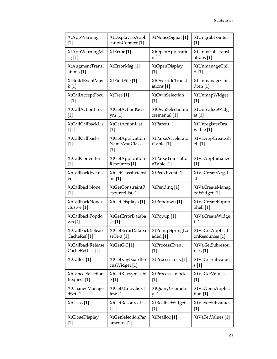| XtAppWarning                          | XtDisplayToAppli                                        | XtNoticeSignal [1]                     | XtUngrabPointer                   |
|---------------------------------------|---------------------------------------------------------|----------------------------------------|-----------------------------------|
| $[1]$                                 | cationContext <sup>[1]</sup>                            |                                        | $[1]$                             |
| XtAppWarningM                         | XtError <sup>[1]</sup>                                  | XtOpenApplicatio                       | XtUninstallTransl                 |
| sg[1]                                 |                                                         | n [1]                                  | ations [1]                        |
| XtAugmentTransl                       | XtErrorMsg[1]                                           | <b>XtOpenDisplay</b>                   | <b>XtUnmanageChil</b>             |
| ations [1]                            |                                                         | $[1]$                                  | d[1]                              |
| XtBuildEventMas                       | XtFindFile [1]                                          | XtOverrideTransl                       | XtUnmanageChil                    |
| k[1]                                  |                                                         | ations [1]                             | dren $[1]$                        |
| XtCallAcceptFocu                      | XtFree [1]                                              | XtOwnSelection                         | XtUnmapWidget                     |
| s [1]                                 |                                                         | $[1]$                                  | $[1]$                             |
| XtCallActionProc                      | XtGetActionKeys                                         | XtOwnSelectionIn                       | XtUnrealizeWidg                   |
| $[1]$                                 | ym <sub>[1]</sub>                                       | cremental [1]                          | et[1]                             |
| <b>XtCallCallbackLis</b>              | <b>XtGetActionList</b>                                  | XtParent [1]                           | XtUnregisterDra                   |
| t[1]                                  | $[1]$                                                   |                                        | wable [1]                         |
| <b>XtCallCallbacks</b><br>$[1]$       | <b>XtGetApplication</b><br><b>NameAndClass</b><br>$[1]$ | <b>XtParseAccelerato</b><br>rTable [1] | <b>XtVaAppCreateSh</b><br>ell [1] |
| <b>XtCallConverter</b>                | <b>XtGetApplication</b>                                 | XtParseTranslatio                      | XtVaAppInitialize                 |
| $[1]$                                 | Resources <sup>[1]</sup>                                | nTable [1]                             | $[1]$                             |
| XtCallbackExclusi                     | <b>XtGetClassExtensi</b>                                | XtPeekEvent [1]                        | XtVaCreateArgsLi                  |
| ve [1]                                | on $[1]$                                                |                                        | st $[1]$                          |
| XtCallbackNone                        | <b>XtGetConstraintR</b>                                 | XtPending [1]                          | XtVaCreateManag                   |
| $[1]$                                 | esourceList [1]                                         |                                        | edWidget [1]                      |
| <b>XtCallbackNonex</b><br>clusive [1] | XtGetDisplays [1]                                       | XtPopdown [1]                          | XtVaCreatePopup<br>Shell [1]      |
| XtCallbackPopdo                       | XtGetErrorDataba                                        | XtPopup [1]                            | XtVaCreateWidge                   |
| wn[1]                                 | se [1]                                                  |                                        | t[1]                              |
| <b>XtCallbackRelease</b>              | XtGetErrorDataba                                        | XtPopupSpringLo                        | <b>XtVaGetApplicati</b>           |
| CacheRef <sup>[1]</sup>               | seText [1]                                              | aded [1]                               | onResources <sup>[1]</sup>        |
| <b>XtCallbackRelease</b>              | XtGetGC <sup>[1]</sup>                                  | XtProcessEvent                         | XtVaGetSubresou                   |
| CacheRefList <sup>[1]</sup>           |                                                         | $[1]$                                  | rces [1]                          |
| XtCalloc [1]                          | XtGetKeyboardFo<br>cusWidget [1]                        | XtProcessLock [1]                      | XtVaGetSubvalue<br>s[1]           |
| <b>XtCancelSelection</b>              | XtGetKeysymTabl                                         | XtProcessUnlock                        | <b>XtVaGetValues</b>              |
| Request <sup>[1]</sup>                | e [1]                                                   | $[1]$                                  | $[1]$                             |
| XtChangeManage                        | XtGetMultiClickT                                        | XtQueryGeometr                         | <b>XtVaOpenApplica</b>            |
| dSet[1]                               | ime [1]                                                 | y [1]                                  | tion $[1]$                        |
| XtClass [1]                           | XtGetResourceLis                                        | XtRealizeWidget                        | <b>XtVaSetSubvalues</b>           |
|                                       | t[1]                                                    | $[1]$                                  | $[1]$                             |
| XtCloseDisplay<br>$[1]$               | XtGetSelectionPar<br>ameters [1]                        | XtRealloc <sup>[1]</sup>               | XtVaSetValues [1]                 |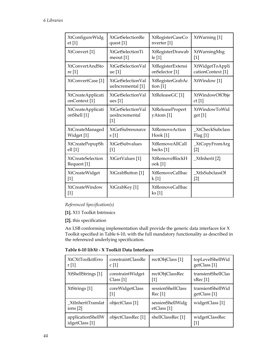<span id="page-43-0"></span>

| XtConfigureWidg                         | <b>XtGetSelectionRe</b>                      | XtRegisterCaseCo                     | XtWarning [1]                |
|-----------------------------------------|----------------------------------------------|--------------------------------------|------------------------------|
| et[1]                                   | quest [1]                                    | nverter [1]                          |                              |
| XtConvert <sup>[1]</sup>                | XtGetSelectionTi                             | XtRegisterDrawab                     | XtWarningMsg                 |
|                                         | meout $[1]$                                  | le [1]                               | $[1]$                        |
| XtConvertAndSto                         | XtGetSelectionVal                            | XtRegisterExtensi                    | XtWidgetToAppli              |
| re [1]                                  | ue [1]                                       | onSelector <sup>[1]</sup>            | cationContext <sup>[1]</sup> |
| XtConvertCase <sup>[1]</sup>            | XtGetSelectionVal<br>ueIncremental [1]       | XtRegisterGrabAc<br>tion $[1]$       | XtWindow [1]                 |
| <b>XtCreateApplicati</b>                | XtGetSelectionVal                            | XtReleaseGC [1]                      | XtWindowOfObje               |
| onContext <sup>[1]</sup>                | ues $[1]$                                    |                                      | ct[1]                        |
| <b>XtCreateApplicati</b><br>onShell [1] | XtGetSelectionVal<br>uesIncremental<br>$[1]$ | <b>XtReleasePropert</b><br>yAtom [1] | XtWindowToWid<br>get [1]     |
| XtCreateManaged                         | XtGetSubresource                             | <b>XtRemoveAction</b>                | XtCheckSubclass              |
| Widget [1]                              | s[1]                                         | Hook [1]                             | Flag[1]                      |
| XtCreatePopupSh                         | <b>XtGetSubvalues</b>                        | <b>XtRemoveAllCall</b>               | _XtCopyFromArg               |
| ell[1]                                  | $[1]$                                        | backs [1]                            | $[2]$                        |
| <b>XtCreateSelection</b><br>Request [1] | XtGetValues [1]                              | <b>XtRemoveBlockH</b><br>ook [1]     | _XtInherit [2]               |
| XtCreateWidget                          | XtGrabButton [1]                             | XtRemoveCallbac                      | XtIsSubclassOf               |
| $[1]$                                   |                                              | k [1]                                | $[2]$                        |
| <b>XtCreateWindow</b><br>$[1]$          | XtGrabKey [1]                                | XtRemoveCallbac<br>ks [1]            |                              |

*Referenced Specification(s)* 

**[1].** [X11 Toolkit Intrinsics](#page-0-0)

**[2].** [this specification](#page-0-0)

An LSB conforming implementation shall provide the generic data interfaces for X Toolkit specified in [Table 6-10,](#page-43-0) with the full mandatory functionality as described in the referenced underlying specification.

**Table 6-10 libXt - X Toolkit Data Interfaces** 

| XtCXtToolkitErro                    | constraintClassRe             | rectObjClass [1]                           | topLevelShellWid        |
|-------------------------------------|-------------------------------|--------------------------------------------|-------------------------|
| r[1]                                | c[1]                          |                                            | getClass <sup>[1]</sup> |
| XtShellStrings [1]                  | constraintWidget              | rectObjClassRec                            | transientShellClas      |
|                                     | Class [1]                     | [1]                                        | sRec <sup>[1]</sup>     |
| XtStrings [1]                       | coreWidgetClass               | sessionShellClass                          | transientShellWid       |
|                                     | $[1]$                         | Rec[1]                                     | getClass [1]            |
| _XtInheritTranslat<br>ions [2]      | objectClass [1]               | sessionShellWidg<br>etClass <sup>[1]</sup> | widgetClass [1]         |
| applicationShellW<br>idgetClass [1] | objectClassRec <sup>[1]</sup> | shellClassRec [1]                          | widgetClassRec<br>$[1]$ |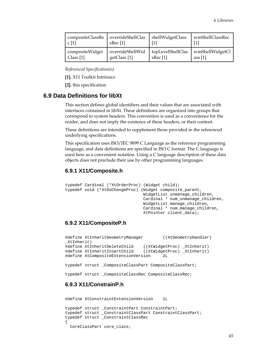<span id="page-44-0"></span>

| compositeClassRe<br>c[1] | overrideShellClas<br>sRec <sup>[1]</sup> | shellWidgetClass    | wmShellClassRec |
|--------------------------|------------------------------------------|---------------------|-----------------|
| compositeWidget          | overrideShellWid                         | topLevelShellClas   | wmShellWidgetCl |
| Class $[1]$              | getClass [1]                             | sRec <sup>[1]</sup> | ass $[1]$       |

*Referenced Specification(s)* 

**[1].** [X11 Toolkit Intrinsics](#page-0-0)

**[2].** [this specification](#page-0-0)

### **6.9 Data Definitions for libXt**

This section defines global identifiers and their values that are associated with interfaces contained in libXt. These definitions are organized into groups that correspond to system headers. This convention is used as a convenience for the reader, and does not imply the existence of these headers, or their content.

These definitions are intended to supplement those provided in the referenced underlying specifications.

This specification uses ISO/IEC 9899 C Language as the reference programming language, and data definitions are specified in ISO C format. The C language is used here as a convenient notation. Using a C language description of these data objects does not preclude their use by other programming languages.

#### **6.9.1 X11/Composite.h**

```
typedef Cardinal (*XtOrderProc) (Widget child); 
typedef void (*XtDoChangeProc) (Widget composite_parent, 
                                   WidgetList unmanage_children, 
                                   Cardinal * num_unmanage_children, 
                                   WidgetList manage_children, 
                                   Cardinal * num_manage_children, 
                                   XtPointer client_data);
```
### **6.9.2 X11/CompositeP.h**

|            | #define XtInheritGeometryManager                       | ((XtGeometryHandler)       |
|------------|--------------------------------------------------------|----------------------------|
| XtInherit) |                                                        |                            |
|            | #define XtInheritDeleteChild                           | ((XtWidgetProc) XtInherit) |
|            | #define XtInheritInsertChild                           | ((XtWidgetProc) XtInherit) |
|            | #define XtCompositeExtensionVersion                    | 2L                         |
|            |                                                        |                            |
|            | typedef struct _CompositeClassPart CompositeClassPart; |                            |
|            |                                                        |                            |
|            | typedef struct _CompositeClassRec CompositeClassRec;   |                            |
|            |                                                        |                            |

# **6.9.3 X11/ConstrainP.h**

```
#define XtConstraintExtensionVersion 1L
typedef struct _ConstraintPart ConstraintPart; 
typedef struct _ConstraintClassPart ConstraintClassPart; 
typedef struct _ConstraintClassRec 
{ 
  CoreClassPart core_class;
```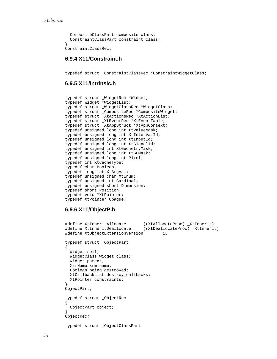```
 CompositeClassPart composite_class; 
   ConstraintClassPart constraint_class; 
} 
ConstraintClassRec;
```
#### **6.9.4 X11/Constraint.h**

typedef struct \_ConstraintClassRec \*ConstraintWidgetClass;

#### **6.9.5 X11/Intrinsic.h**

```
typedef struct _WidgetRec *Widget; 
typedef Widget *WidgetList; 
typedef struct _WidgetClassRec *WidgetClass; 
typedef struct _CompositeRec *CompositeWidget; 
typedef struct _XtActionsRec *XtActionList; 
typedef struct _XtEventRec *XtEventTable; 
typedef struct _XtAppStruct *XtAppContext; 
typedef unsigned long int XtValueMask; 
typedef unsigned long int XtIntervalId; 
typedef unsigned long int XtInputId; 
typedef unsigned long int XtSignalId; 
typedef unsigned int XtGeometryMask; 
typedef unsigned long int XtGCMask; 
typedef unsigned long int Pixel; 
typedef int XtCacheType; 
typedef char Boolean; 
typedef long int XtArgVal; 
typedef unsigned char XtEnum; 
typedef unsigned int Cardinal; 
typedef unsigned short Dimension; 
typedef short Position; 
typedef void *XtPointer; 
typedef XtPointer Opaque;
```
#### **6.9.6 X11/ObjectP.h**

```
#define XtInheritAllocate ((XtAllocateProc) _XtInherit) 
                                 ((XtDeallocateProc) _XtInherit)
#define XtObjectExtensionVersion 1L 
typedef struct _ObjectPart 
{ 
   Widget self; 
   WidgetClass widget_class; 
   Widget parent; 
   XrmName xrm_name; 
   Boolean being_destroyed; 
   XtCallbackList destroy_callbacks; 
   XtPointer constraints; 
} 
ObjectPart; 
typedef struct _ObjectRec 
{ 
  ObjectPart object; 
} 
ObjectRec; 
typedef struct _ObjectClassPart
```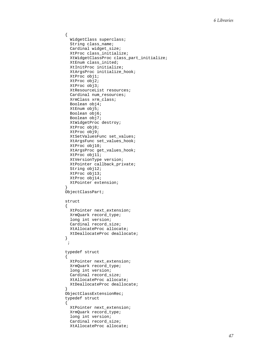```
{ 
   WidgetClass superclass; 
   String class_name; 
   Cardinal widget_size; 
   XtProc class_initialize; 
   XtWidgetClassProc class_part_initialize; 
   XtEnum class_inited; 
   XtInitProc initialize; 
   XtArgsProc initialize_hook; 
   XtProc obj1; 
   XtProc obj2; 
   XtProc obj3; 
   XtResourceList resources; 
   Cardinal num_resources; 
   XrmClass xrm_class; 
   Boolean obj4; 
   XtEnum obj5; 
   Boolean obj6; 
   Boolean obj7; 
   XtWidgetProc destroy; 
   XtProc obj8; 
   XtProc obj9; 
   XtSetValuesFunc set_values; 
   XtArgsFunc set_values_hook; 
   XtProc obj10; 
   XtArgsProc get_values_hook; 
   XtProc obj11; 
   XtVersionType version; 
   XtPointer callback_private; 
  String obj12;
   XtProc obj13; 
   XtProc obj14; 
   XtPointer extension; 
} 
ObjectClassPart; 
struct 
{ 
   XtPointer next_extension; 
   XrmQuark record_type; 
   long int version; 
   Cardinal record_size; 
   XtAllocateProc allocate; 
   XtDeallocateProc deallocate; 
} 
  ; 
typedef struct 
\left\{ \right. XtPointer next_extension; 
   XrmQuark record_type; 
   long int version; 
   Cardinal record_size; 
   XtAllocateProc allocate; 
   XtDeallocateProc deallocate; 
} 
ObjectClassExtensionRec; 
typedef struct 
{ 
   XtPointer next_extension; 
   XrmQuark record_type; 
   long int version; 
   Cardinal record_size; 
   XtAllocateProc allocate;
```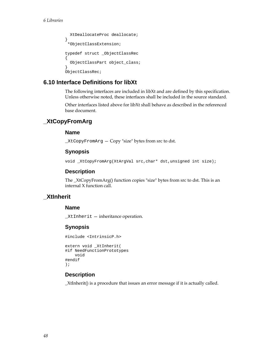```
 XtDeallocateProc deallocate; 
} 
  *ObjectClassExtension; 
typedef struct _ObjectClassRec 
{ 
   ObjectClassPart object_class; 
} 
ObjectClassRec;
```
# **6.10 Interface Definitions for libXt**

The following interfaces are included in libXt and are defined by this specification. Unless otherwise noted, these interfaces shall be included in the source standard.

Other interfaces listed above for libXt shall behave as described in the referenced base document.

# **\_XtCopyFromArg**

### **Name**

\_XtCopyFromArg — Copy "size" bytes from src to dst.

# **Synopsis**

void \_XtCopyFromArg(XtArgVal src,char\* dst,unsigned int size);

## **Description**

The \_XtCopyFromArg() function copies "size" bytes from src to dst. This is an internal X function call.

# **\_XtInherit**

### **Name**

\_XtInherit — inheritance operation.

# **Synopsis**

```
#include <IntrinsicP.h>
```

```
extern void _XtInherit( 
#if NeedFunctionPrototypes 
     void 
#endif 
);
```
# **Description**

\_XtInherit() is a procedure that issues an error message if it is actually called.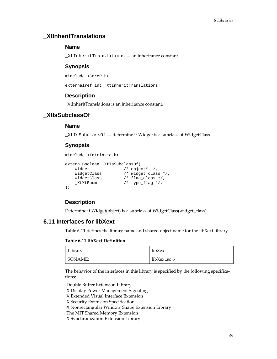# <span id="page-48-0"></span>**\_XtInheritTranslations**

#### **Name**

\_XtInheritTranslations — an inheritance constant

#### **Synopsis**

#include <CoreP.h>

externalref int \_XtInheritTranslations;

#### **Description**

\_XtInheritTranslations is an inheritance constant.

### **\_XtIsSubclassOf**

#### **Name**

\_XtIsSubclassOf — determine if Widget is a subclass of WidgetClass.

### **Synopsis**

```
#include <Intrinsic.h> 
extern Boolean _XtIsSubclassOf(<br>Widget /* object* /,
 Widget /* object* /, 
 WidgetClass /* widget_class */, 
 WidgetClass /* flag_class */, 
 _XtXtEnum /* type_flag */, 
);
```
### **Description**

Determine if Widget(object) is a subclass of WidgetClass(widget\_class).

## **6.11 Interfaces for libXext**

[Table 6-11](#page-48-0) defines the library name and shared object name for the libXext library

#### **Table 6-11 libXext Definition**

| Library: | libXext      |
|----------|--------------|
| SONAME:  | libXext.so.6 |

The behavior of the interfaces in this library is specified by the following specifications:

[Double Buffer Extension Library](#page-0-0)

[X Display Power Management Signaling](#page-0-0)

[X Extended Visual Interface Extension](#page-0-0)

[X Security Extension Specification](#page-0-0)

[X Nonrectangular Window Shape Extension Library](#page-0-0)

[The MIT Shared Memory Extension](#page-0-0)

[X Synchronization Extension Library](#page-0-0)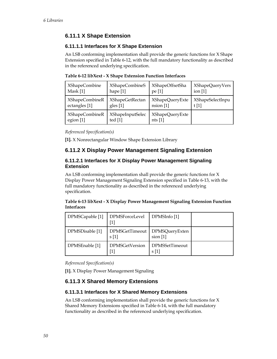# <span id="page-49-0"></span>**6.11.1 X Shape Extension**

### **6.11.1.1 Interfaces for X Shape Extension**

An LSB conforming implementation shall provide the generic functions for X Shape Extension specified in [Table 6-12](#page-49-0), with the full mandatory functionality as described in the referenced underlying specification.

| <b>XShapeCombine</b>  | XShapeCombineS          | XShapeOffsetSha    | <b>XShapeQueryVers</b> |
|-----------------------|-------------------------|--------------------|------------------------|
| Mask [1]              | hape $[1]$              | pe [1]             | ion $[1]$              |
| <b>XShapeCombineR</b> | <b>XShapeGetRectan</b>  | XShapeQueryExte    | XShapeSelectInpu       |
| ectangles [1]         | gles $[1]$              | nsion [1]          | t $[1]$                |
| <b>XShapeCombineR</b> | <b>XShapeInputSelec</b> | XShapeQueryExte    |                        |
| egion [1]             | ted $[1]$               | nts <sub>[1]</sub> |                        |

**Table 6-12 libXext - X Shape Extension Function Interfaces** 

*Referenced Specification(s)* 

**[1].** [X Nonrectangular Window Shape Extension Library](#page-0-0)

# **6.11.2 X Display Power Management Signaling Extension**

### **6.11.2.1 Interfaces for X Display Power Management Signaling Extension**

An LSB conforming implementation shall provide the generic functions for X Display Power Management Signaling Extension specified in [Table 6-13](#page-49-0), with the full mandatory functionality as described in the referenced underlying specification.

#### **Table 6-13 libXext - X Display Power Management Signaling Extension Function Interfaces**

| DPMSCapable [1] | DPMSForceLevel         | DPMSInfo [1]                 |  |
|-----------------|------------------------|------------------------------|--|
| DPMSDisable [1] | DPMSGetTimeout<br>s[1] | DPMSQueryExten<br>$sion$ [1] |  |
| DPMSEnable [1]  | <b>DPMSGetVersion</b>  | DPMSSetTimeout<br>s[1]       |  |

*Referenced Specification(s)* 

**[1].** [X Display Power Management Signaling](#page-0-0)

# **6.11.3 X Shared Memory Extensions**

### **6.11.3.1 Interfaces for X Shared Memory Extensions**

An LSB conforming implementation shall provide the generic functions for X Shared Memory Extensions specified in [Table 6-14,](#page-50-0) with the full mandatory functionality as described in the referenced underlying specification.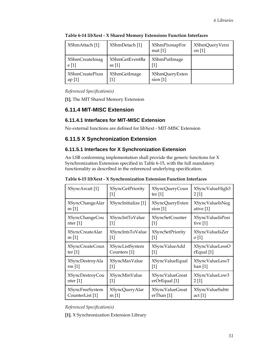| XShmAttach [1]                 | XShmDetach [1]                  | <b>XShmPixmapFor</b><br>mat $[1]$ | <b>XShmQueryVersi</b><br>on $[1]$ |
|--------------------------------|---------------------------------|-----------------------------------|-----------------------------------|
| XShmCreateImag<br>e[1]         | <b>XShmGetEventBa</b><br>se [1] | <b>XShmPutImage</b>               |                                   |
| <b>XShmCreatePixm</b><br>ap[1] | <b>XShmGetImage</b>             | XShmQueryExten<br>$sion$ [1]      |                                   |

<span id="page-50-0"></span>**Table 6-14 libXext - X Shared Memory Extensions Function Interfaces** 

*Referenced Specification(s)* 

**[1].** [The MIT Shared Memory Extension](#page-0-0)

# **6.11.4 MIT-MISC Extension**

### **6.11.4.1 Interfaces for MIT-MISC Extension**

No external functions are defined for libXext - MIT-MISC Extension

# **6.11.5 X Synchronization Extension**

### **6.11.5.1 Interfaces for X Synchronization Extension**

An LSB conforming implementation shall provide the generic functions for X Synchronization Extension specified in [Table 6-15](#page-50-0), with the full mandatory functionality as described in the referenced underlying specification.

| XSyncAwait [1]         | <b>XSyncGetPriority</b> | XSyncQueryCoun          | XSyncValueHigh3        |
|------------------------|-------------------------|-------------------------|------------------------|
|                        | 1                       | ter $[1]$               | 2[1]                   |
| <b>XSyncChangeAlar</b> | XSyncInitialize [1]     | <b>XSyncQueryExten</b>  | XSyncValueIsNeg        |
| m[1]                   |                         | $sion$ [1]              | ative [1]              |
| XSyncChangeCou         | XSyncIntToValue         | XSyncSetCounter         | XSyncValueIsPosi       |
| nter $[1]$             | $[1]$                   | $[1]$                   | tive $[1]$             |
| <b>XSyncCreateAlar</b> | XSyncIntsToValue        | <b>XSyncSetPriority</b> | XSyncValueIsZer        |
| m[1]                   | 1                       | 1                       | $\sigma$ [1]           |
| <b>XSyncCreateCoun</b> | <b>XSyncListSystem</b>  | XSyncValueAdd           | <b>XSyncValueLessO</b> |
| ter $[1]$              | Counters <sup>[1]</sup> | $[1]$                   | $r$ Equal [1]          |
| XSyncDestroyAla        | XSyncMaxValue           | XSyncValueEqual         | XSyncValueLessT        |
| rm[1]                  | $[1]$                   | $\lceil 1 \rceil$       | han $[1]$              |
| <b>XSyncDestroyCou</b> | XSyncMinValue           | <b>XSyncValueGreat</b>  | XSyncValueLow3         |
| nter $[1]$             | 1                       | erOrEqual [1]           | 2[1]                   |
| <b>XSyncFreeSystem</b> | <b>XSyncQueryAlar</b>   | <b>XSyncValueGreat</b>  | <b>XSyncValueSubtr</b> |
| CounterList [1]        | m <sub>[1]</sub>        | erThan [1]              | act $[1]$              |

**Table 6-15 libXext - X Synchronization Extension Function Interfaces** 

*Referenced Specification(s)* 

**[1].** [X Synchronization Extension Library](#page-0-0)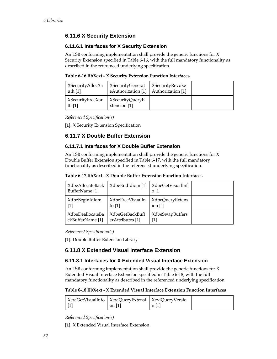# <span id="page-51-0"></span>**6.11.6 X Security Extension**

### **6.11.6.1 Interfaces for X Security Extension**

An LSB conforming implementation shall provide the generic functions for X Security Extension specified in [Table 6-16](#page-51-0), with the full mandatory functionality as described in the referenced underlying specification.

| Table 6-16 libXext - X Security Extension Function Interfaces |  |
|---------------------------------------------------------------|--|
|---------------------------------------------------------------|--|

| XSecurityAllocXa<br>uth $[1]$                  | <b>XSecurityGenerat</b><br>eAuthorization [1] Authorization [1] | XSecurityRevoke |  |
|------------------------------------------------|-----------------------------------------------------------------|-----------------|--|
| XSecurityFreeXau   XSecurityQueryE<br>th $[1]$ | xtension [1]                                                    |                 |  |

*Referenced Specification(s)* 

**[1].** [X Security Extension Specification](#page-0-0)

# **6.11.7 X Double Buffer Extension**

### **6.11.7.1 Interfaces for X Double Buffer Extension**

An LSB conforming implementation shall provide the generic functions for X Double Buffer Extension specified in [Table 6-17,](#page-51-0) with the full mandatory functionality as described in the referenced underlying specification.

| Table 6-17 libXext - X Double Buffer Extension Function Interfaces |  |  |  |  |  |
|--------------------------------------------------------------------|--|--|--|--|--|
|--------------------------------------------------------------------|--|--|--|--|--|

| <b>XdbeAllocateBack</b><br>BufferName [1] | XdbeEndIdiom [1] | XdbeGetVisualInf<br>$\Omega$ [1] |  |
|-------------------------------------------|------------------|----------------------------------|--|
| XdbeBeginIdiom                            | XdbeFreeVisualIn | XdbeQueryExtens                  |  |
| [1]                                       | fo $[1]$         | ion $[1]$                        |  |
| XdbeDeallocateBa                          | XdbeGetBackBuff  | <b>XdbeSwapBuffers</b>           |  |
| ckBufferName [1]                          | erAttributes [1] | [1]                              |  |

*Referenced Specification(s)* 

**[1].** [Double Buffer Extension Library](#page-0-0)

# **6.11.8 X Extended Visual Interface Extension**

### **6.11.8.1 Interfaces for X Extended Visual Interface Extension**

An LSB conforming implementation shall provide the generic functions for X Extended Visual Interface Extension specified in [Table 6-18](#page-51-0), with the full mandatory functionality as described in the referenced underlying specification.

**Table 6-18 libXext - X Extended Visual Interface Extension Function Interfaces** 

| XeviGetVisualInfo   XeviQueryExtensi   XeviQueryVersio | on $[1]$ | n 1 |  |
|--------------------------------------------------------|----------|-----|--|
|                                                        |          |     |  |

*Referenced Specification(s)* 

**[1].** [X Extended Visual Interface Extension](#page-0-0)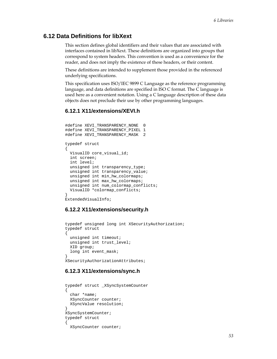# <span id="page-52-0"></span>**6.12 Data Definitions for libXext**

This section defines global identifiers and their values that are associated with interfaces contained in libXext. These definitions are organized into groups that correspond to system headers. This convention is used as a convenience for the reader, and does not imply the existence of these headers, or their content.

These definitions are intended to supplement those provided in the referenced underlying specifications.

This specification uses ISO/IEC 9899 C Language as the reference programming language, and data definitions are specified in ISO C format. The C language is used here as a convenient notation. Using a C language description of these data objects does not preclude their use by other programming languages.

#### **6.12.1 X11/extensions/XEVI.h**

```
#define XEVI_TRANSPARENCY_NONE 0 
#define XEVI_TRANSPARENCY_PIXEL 1 
#define XEVI_TRANSPARENCY_MASK 2 
typedef struct 
{ 
 VisualID core visual id;
   int screen; 
  int level; 
  unsigned int transparency_type; 
  unsigned int transparency_value; 
  unsigned int min_hw_colormaps; 
  unsigned int max_hw_colormaps; 
 unsigned int num colormap conflicts;
  VisualID *colormap_conflicts; 
} 
ExtendedVisualInfo;
```
#### **6.12.2 X11/extensions/security.h**

```
typedef unsigned long int XSecurityAuthorization; 
typedef struct 
{ 
  unsigned int timeout; 
  unsigned int trust_level; 
  XID group; 
  long int event_mask; 
} 
XSecurityAuthorizationAttributes;
```
#### **6.12.3 X11/extensions/sync.h**

```
typedef struct _XSyncSystemCounter 
{ 
   char *name; 
   XSyncCounter counter; 
   XSyncValue resolution; 
} 
XSyncSystemCounter; 
typedef struct 
{ 
   XSyncCounter counter;
```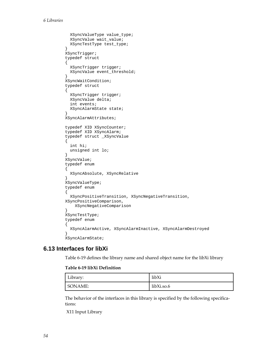```
 XSyncValueType value_type; 
   XSyncValue wait_value; 
   XSyncTestType test_type; 
} 
XSyncTrigger; 
typedef struct 
{ 
   XSyncTrigger trigger; 
   XSyncValue event_threshold; 
} 
XSyncWaitCondition; 
typedef struct 
{ 
   XSyncTrigger trigger; 
   XSyncValue delta; 
   int events; 
   XSyncAlarmState state; 
} 
XSyncAlarmAttributes; 
typedef XID XSyncCounter; 
typedef XID XSyncAlarm; 
typedef struct _XSyncValue 
{ 
   int hi; 
   unsigned int lo; 
} 
XSyncValue; 
typedef enum 
{ 
   XSyncAbsolute, XSyncRelative 
} 
XSyncValueType; 
typedef enum 
{ 
   XSyncPositiveTransition, XSyncNegativeTransition, 
XSyncPositiveComparison, 
     XSyncNegativeComparison 
} 
XSyncTestType; 
typedef enum 
{ 
   XSyncAlarmActive, XSyncAlarmInactive, XSyncAlarmDestroyed 
} 
XSyncAlarmState;
```
# **6.13 Interfaces for libXi**

[Table 6-19](#page-53-0) defines the library name and shared object name for the libXi library

#### **Table 6-19 libXi Definition**

| Library: | libXi      |
|----------|------------|
| SONAME:  | libXi.so.6 |

The behavior of the interfaces in this library is specified by the following specifications:

[X11 Input Library](#page-0-0)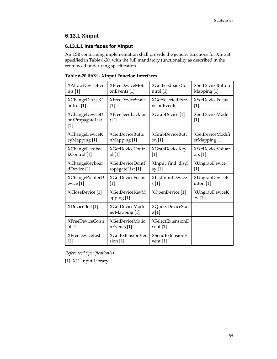# <span id="page-54-0"></span>**6.13.1 XInput**

# **6.13.1.1 Interfaces for XInput**

An LSB conforming implementation shall provide the generic functions for XInput specified in [Table 6-20](#page-54-0), with the full mandatory functionality as described in the referenced underlying specification.

| <b>XAllowDeviceEve</b>                             | <b>XFreeDeviceMoti</b>                             | <b>XGetFeedbackCo</b>            |                                            |
|----------------------------------------------------|----------------------------------------------------|----------------------------------|--------------------------------------------|
| nts $[1]$                                          | onEvents <sup>[1]</sup>                            | ntrol [1]                        |                                            |
| XChangeDeviceC                                     | <b>XFreeDeviceState</b>                            | <b>XGetSelectedExte</b>          | <b>XSetDeviceFocus</b>                     |
| ontrol [1]                                         | $[1]$                                              | nsionEvents [1]                  | $[1]$                                      |
| <b>XChangeDeviceD</b><br>ontPropagateList<br>$[1]$ | <b>XFreeFeedbackLis</b><br>XGrabDevice [1]<br>t[1] |                                  | <b>XSetDeviceMode</b><br>$\lceil 1 \rceil$ |
| <b>XChangeDeviceK</b>                              | <b>XGetDeviceButto</b>                             | <b>XGrabDeviceButt</b>           | <b>XSetDeviceModifi</b>                    |
| eyMapping [1]                                      | nMapping [1]                                       | on $[1]$                         | erMapping [1]                              |
| <b>XChangeFeedbac</b>                              | <b>XGetDeviceContr</b>                             | <b>XGrabDeviceKey</b>            | <b>XSetDeviceValuat</b>                    |
| kControl <sup>[1]</sup>                            | ol[1]                                              | $[1]$                            | ors <sub>[1]</sub>                         |
| <b>XChangeKeyboar</b>                              | <b>XGetDeviceDontP</b>                             | XInput_find_displ                | <b>XUngrabDevice</b>                       |
| dDevice [1]                                        | ropagateList [1]                                   | ay [1]                           | [1]                                        |
| XChangePointerD                                    | <b>XGetDeviceFocus</b>                             | XListInputDevice                 | <b>XUngrabDeviceB</b>                      |
| evice [1]                                          | $[1]$                                              | s[1]                             | utton [1]                                  |
| XCloseDevice [1]                                   | <b>XGetDeviceKeyM</b><br>apping [1]                | XOpenDevice [1]                  | <b>XUngrabDeviceK</b><br>ey [1]            |
| XDeviceBell [1]                                    | <b>XGetDeviceModif</b><br>ierMapping [1]           | <b>XQueryDeviceStat</b><br>e [1] |                                            |
| <b>XFreeDeviceContr</b>                            | <b>XGetDeviceMotio</b>                             | <b>XSelectExtensionE</b>         |                                            |
| ol[1]                                              | nEvents [1]                                        | vent $[1]$                       |                                            |
| <b>XFreeDeviceList</b>                             | <b>XGetExtensionVer</b>                            | <b>XSendExtensionE</b>           |                                            |
| $[1]$                                              | $sion$ [1]                                         | vent $[1]$                       |                                            |

**Table 6-20 libXi - XInput Function Interfaces** 

*Referenced Specification(s)* 

**[1].** [X11 Input Library](#page-0-0)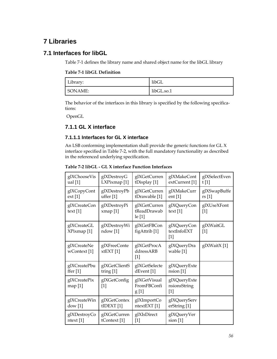# <span id="page-55-0"></span>**7 Libraries**

# **7.1 Interfaces for libGL**

[Table 7-1](#page-55-0) defines the library name and shared object name for the libGL library

#### **Table 7-1 libGL Definition**

| Library: | libGL      |
|----------|------------|
| SONAME:  | libGL.so.1 |

The behavior of the interfaces in this library is specified by the following specifications:

[OpenGL](#page-0-0)

# **7.1.1 GL X interface**

## **7.1.1.1 Interfaces for GL X interface**

An LSB conforming implementation shall provide the generic functions for GL X interface specified in [Table 7-2](#page-55-0), with the full mandatory functionality as described in the referenced underlying specification.

**Table 7-2 libGL - GL X interface Function Interfaces** 

| glXChooseVis                           | glXDestroyG                         | glXGetCurren                            | glXMakeCont                           | glXSelectEven        |
|----------------------------------------|-------------------------------------|-----------------------------------------|---------------------------------------|----------------------|
| ual <sub>[1]</sub>                     | LXPixmap <sup>[1]</sup>             | tDisplay [1]                            | extCurrent <sup>[1]</sup>             | t[1]                 |
| glXCopyCont                            | glXDestroyPb                        | glXGetCurren                            | glXMakeCurr                           | glXSwapBuffe         |
| ext[1]                                 | uffer $[1]$                         | tDrawable [1]                           | ent $[1]$                             | rs[1]                |
| glXCreateCon<br>text $[1]$             | glXDestroyPi<br>xmap[1]             | glXGetCurren<br>tReadDrawab<br>le[1]    | glXQueryCon<br>text $[1]$             | glXUseXFont<br>$[1]$ |
| glXCreateGL<br>XPixmap <sup>[1]</sup>  | glXDestroyWi<br>ndow <sup>[1]</sup> | glXGetFBCon<br>figAttrib <sup>[1]</sup> | glXQueryCon<br>textInfoEXT<br>$[1]$   | glXWaitGL<br>$[1]$   |
| glXCreateNe<br>wContext <sup>[1]</sup> | glXFreeConte<br>xtEXT[1]            | glXGetProcA<br>ddressARB<br>$[1]$       | glXQueryDra<br>wable [1]              | glXWaitX[1]          |
| glXCreatePbu                           | glXGetClientS                       | glXGetSelecte                           | glXQueryExte                          |                      |
| ffer $[1]$                             | tring $[1]$                         | dEvent <sup>[1]</sup>                   | nsion [1]                             |                      |
| glXCreatePix<br>map[1]                 | glXGetConfig<br>$[1]$               | glXGetVisual<br>FromFBConfi<br>g[1]     | glXQueryExte<br>nsionsString<br>$[1]$ |                      |
| glXCreateWin                           | glXGetContex                        | glXImportCo                             | glXQueryServ                          |                      |
| dow[1]                                 | $t$ IDEXT $[1]$                     | ntextEXT [1]                            | erString [1]                          |                      |
| glXDestroyCo                           | glXGetCurren                        | glXIsDirect                             | glXQueryVer                           |                      |
| ntext [1]                              | tContext <sup>[1]</sup>             | $[1]$                                   | $sion$ [1]                            |                      |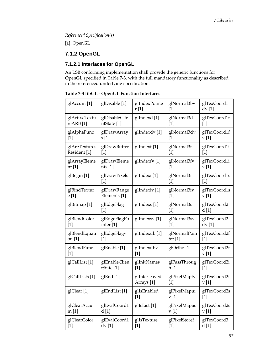<span id="page-56-0"></span>*Referenced Specification(s)* 

**[1].** [OpenGL](#page-0-0)

# **7.1.2 OpenGL**

# **7.1.2.1 Interfaces for OpenGL**

An LSB conforming implementation shall provide the generic functions for OpenGL specified in [Table 7-3](#page-56-0), with the full mandatory functionality as described in the referenced underlying specification.

| glAccum <sup>[1]</sup>    | glDisable [1]            | glIndexPointe<br>r[1]                  | glNormal3bv<br>$[1]$   | glTexCoord1<br>dv[1]  |
|---------------------------|--------------------------|----------------------------------------|------------------------|-----------------------|
| glActiveTextu             | glDisableClie            | glIndexd [1]                           | glNormal3d             | glTexCoord1f          |
| reARB <sup>[1]</sup>      | ntState [1]              |                                        | $[1]$                  | $[1]$                 |
| glAlphaFunc               | glDrawArray              | glIndexdv[1]                           | glNormal3dv            | glTexCoord1f          |
| $[1]$                     | s[1]                     |                                        | $[1]$                  | v[1]                  |
| glAreTextures             | glDrawBuffer             | glIndexf [1]                           | glNormal3f             | glTexCoord1i          |
| Resident <sup>[1]</sup>   | $[1]$                    |                                        | $[1]$                  | $[1]$                 |
| glArrayEleme              | glDrawEleme              | glIndexfv[1]                           | glNormal3fv            | glTexCoord1i          |
| nt $[1]$                  | nts $[1]$                |                                        | $[1]$                  | v[1]                  |
| glBegin [1]               | glDrawPixels<br>$[1]$    | glIndexi[1]                            | glNormal3i<br>$[1]$    | glTexCoord1s<br>$[1]$ |
| glBindTextur              | glDrawRange              | glIndexiv <sup>[1]</sup>               | glNormal3iv            | glTexCoord1s          |
| e [1]                     | Elements [1]             |                                        | $[1]$                  | v[1]                  |
| glBitmap [1]              | glEdgeFlag<br>$[1]$      | glIndexs [1]                           | glNormal3s<br>$[1]$    | glTexCoord2<br>d[1]   |
| glBlendColor              | glEdgeFlagPo             | glIndexsv[1]                           | glNormal3sv            | glTexCoord2           |
| $[1]$                     | inter <sup>[1]</sup>     |                                        | $[1]$                  | dv[1]                 |
| glBlendEquati             | glEdgeFlagv              | glIndexub [1]                          | glNormalPoin           | glTexCoord2f          |
| on [1]                    | $[1]$                    |                                        | ter $[1]$              | $[1]$                 |
| glBlendFunc<br>$[1]$      | glEnable [1]             | glIndexubv<br>$[1]$                    | glOrtho <sup>[1]</sup> | glTexCoord2f<br>v[1]  |
| glCallList <sup>[1]</sup> | glEnableClien            | glInitNames                            | glPassThroug           | glTexCoord2i          |
|                           | tState <sup>[1]</sup>    | [1]                                    | h [1]                  | [1]                   |
| glCallLists [1]           | glEnd [1]                | glInterleaved<br>Arrays <sup>[1]</sup> | glPixelMapfv<br>$[1]$  | glTexCoord2i<br>v[1]  |
| glClear <sup>[1]</sup>    | glEndList <sup>[1]</sup> | glIsEnabled<br>$[1]$                   | glPixelMapui<br>v[1]   | glTexCoord2s<br>$[1]$ |
| glClearAccu               | glEvalCoord1             | glIsList <sup>[1]</sup>                | glPixelMapus           | glTexCoord2s          |
| m[1]                      | d[1]                     |                                        | v[1]                   | v[1]                  |
| glClearColor              | glEvalCoord1             | glIsTexture                            | glPixelStoref          | glTexCoord3           |
| $[1]$                     | dv[1]                    | $[1]$                                  | $[1]$                  | d [1]                 |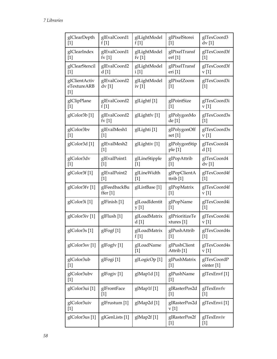| glClearDepth<br>$[1]$                                                                                                                                                                                        | glEvalCoord1<br>f[1]            | glLightModel<br>f[1]            | glPixelStorei<br>$[1]$                                                                                                                                                                                                                                                                                                                                                                                                                                                                                                                                                                                                                                                                                                                 | glTexCoord3<br>dv [1]     |
|--------------------------------------------------------------------------------------------------------------------------------------------------------------------------------------------------------------|---------------------------------|---------------------------------|----------------------------------------------------------------------------------------------------------------------------------------------------------------------------------------------------------------------------------------------------------------------------------------------------------------------------------------------------------------------------------------------------------------------------------------------------------------------------------------------------------------------------------------------------------------------------------------------------------------------------------------------------------------------------------------------------------------------------------------|---------------------------|
| glClearIndex<br>$[1]$                                                                                                                                                                                        | glEvalCoord1<br>$f_{\rm V}$ [1] | glLightModel<br>$f_{\rm V}$ [1] | glPixelTransf<br>erf [1]                                                                                                                                                                                                                                                                                                                                                                                                                                                                                                                                                                                                                                                                                                               | glTexCoord3f<br>$[1]$     |
| glClearStencil<br>$[1]$                                                                                                                                                                                      | glEvalCoord2<br>d[1]            | glLightModel<br>i[1]            | glPixelTransf<br>eri [1]                                                                                                                                                                                                                                                                                                                                                                                                                                                                                                                                                                                                                                                                                                               | glTexCoord3f<br>v[1]      |
| glClientActiv<br>eTextureARB<br>$[1]$                                                                                                                                                                        | glEvalCoord2<br>dv [1]          | glLightModel<br>iv $[1]$        | glPixelZoom<br>$[1]$                                                                                                                                                                                                                                                                                                                                                                                                                                                                                                                                                                                                                                                                                                                   | glTexCoord3i<br>$[1]$     |
| glClipPlane<br>$[1]$                                                                                                                                                                                         | glEvalCoord2<br>f[1]            | glLightf [1]                    | glPointSize<br>$[1]$                                                                                                                                                                                                                                                                                                                                                                                                                                                                                                                                                                                                                                                                                                                   | glTexCoord3i<br>v[1]      |
| glColor3b <sup>[1]</sup>                                                                                                                                                                                     | glEvalCoord2<br>$f_{\rm V}$ [1] | glLightfv[1]                    | glPolygonMo<br>de [1]                                                                                                                                                                                                                                                                                                                                                                                                                                                                                                                                                                                                                                                                                                                  | glTexCoord3s<br>$[1]$     |
| glColor3bv<br>$[1] % \includegraphics[width=0.9\columnwidth]{figures/fig_1a} \caption{The figure shows the number of times on the right, and the number of times on the right, respectively.} \label{fig:1}$ | glEvalMesh1<br>$[1]$            | glLighti [1]                    | glPolygonOff<br>set [1]                                                                                                                                                                                                                                                                                                                                                                                                                                                                                                                                                                                                                                                                                                                | glTexCoord3s<br>v[1]      |
| glColor3d <sup>[1]</sup>                                                                                                                                                                                     | glEvalMesh2<br>$[1]$            | glLightiv <sup>[1]</sup>        | glPolygonStip<br>ple [1]                                                                                                                                                                                                                                                                                                                                                                                                                                                                                                                                                                                                                                                                                                               | glTexCoord4<br>d[1]       |
| glColor3dv<br>$[1]$                                                                                                                                                                                          | glEvalPoint1<br>$[1]$           | glLineStipple<br>$[1]$          | glPopAttrib<br>$[1]$                                                                                                                                                                                                                                                                                                                                                                                                                                                                                                                                                                                                                                                                                                                   | glTexCoord4<br>$dv$ [1]   |
| glColor3f <sup>[1]</sup>                                                                                                                                                                                     | glEvalPoint2<br>$[1]$           | glLineWidth<br>$[1]$            | glPopClientA<br>ttrib $[1]$                                                                                                                                                                                                                                                                                                                                                                                                                                                                                                                                                                                                                                                                                                            | glTexCoord4f<br>$[1]$     |
| glColor3fv[1]                                                                                                                                                                                                | glFeedbackBu<br>ffer $[1]$      | glListBase [1]                  | glPopMatrix<br>$[1]$                                                                                                                                                                                                                                                                                                                                                                                                                                                                                                                                                                                                                                                                                                                   | glTexCoord4f<br>v[1]      |
| glColor3i <sup>[1]</sup>                                                                                                                                                                                     | glFinish [1]                    | glLoadIdentit<br>y [1]          | glPopName<br>$[1]$                                                                                                                                                                                                                                                                                                                                                                                                                                                                                                                                                                                                                                                                                                                     | glTexCoord4i<br>$[1]$     |
| glColor3iv <sup>[1]</sup>                                                                                                                                                                                    | glFlush [1]                     | glLoadMatrix<br>d [1]           | glPrioritizeTe<br>xtures [1]                                                                                                                                                                                                                                                                                                                                                                                                                                                                                                                                                                                                                                                                                                           | glTexCoord4i<br>v[1]      |
| glColor3s <sup>[1]</sup>                                                                                                                                                                                     | glFogf [1]                      | glLoadMatrix<br>f $[1]$         | glPushAttrib<br>$[1] % \begin{center} % \includegraphics[width=\linewidth]{imagesSupplemental_3.png} % \end{center} % \caption { % Our method can be used for the proposed method. % Note that the \emph{exponent} and \emph{exponent} is used in the text. % Note that the \emph{exponent} is used in the text. % Note that the \emph{exponent} is used in the text. % Note that the \emph{exponent} is used in the text. % Note that the \emph{exponent} is used in the text. % Note that the \emph{exponent} is used in the text. % Note that the \emph{exportector} is used in the text. % Note that the \emph{exportector} is used in the text. % Note that the \emph{exportector} is used in the text. % Note that the \emph{ex$ | glTexCoord4s<br>$[1]$     |
| glColor3sv <sup>[1]</sup>                                                                                                                                                                                    | glFogfv[1]                      | glLoadName<br>$[1]$             | glPushClient<br>Attrib <sup>[1]</sup>                                                                                                                                                                                                                                                                                                                                                                                                                                                                                                                                                                                                                                                                                                  | glTexCoord4s<br>v[1]      |
| glColor3ub<br>$[1]$                                                                                                                                                                                          | glFogi[1]                       | glLogicOp <sup>[1]</sup>        | glPushMatrix<br>$[1]$                                                                                                                                                                                                                                                                                                                                                                                                                                                                                                                                                                                                                                                                                                                  | glTexCoordP<br>ointer [1] |
| glColor3ubv<br>$[1]$                                                                                                                                                                                         | glFogiv <sup>[1]</sup>          | glMap1d [1]                     | glPushName<br>$[1]$                                                                                                                                                                                                                                                                                                                                                                                                                                                                                                                                                                                                                                                                                                                    | glTexEnvf [1]             |
| glColor3ui <sup>[1]</sup>                                                                                                                                                                                    | glFrontFace<br>$[1]$            | glMap1f [1]                     | glRasterPos2d<br>$[1]$                                                                                                                                                                                                                                                                                                                                                                                                                                                                                                                                                                                                                                                                                                                 | glTexEnvfv<br>$[1]$       |
| glColor3uiv<br>$[1]$                                                                                                                                                                                         | glFrustum [1]                   | glMap2d [1]                     | glRasterPos2d<br>v[1]                                                                                                                                                                                                                                                                                                                                                                                                                                                                                                                                                                                                                                                                                                                  | glTexEnvi[1]              |
| glColor3us [1]                                                                                                                                                                                               | glGenLists [1]                  | glMap2f [1]                     | glRasterPos2f<br>$[1]$                                                                                                                                                                                                                                                                                                                                                                                                                                                                                                                                                                                                                                                                                                                 | glTexEnviv<br>$[1]$       |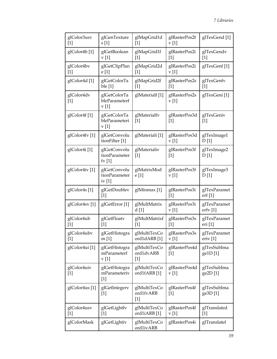| glColor3usv<br>$[1]$      | glGenTexture<br>s[1]                               | glMapGrid1d<br>$[1]$               | glRasterPos2f<br>v[1]  | glTexGend <sup>[1]</sup>            |
|---------------------------|----------------------------------------------------|------------------------------------|------------------------|-------------------------------------|
| glColor4b <sup>[1]</sup>  | glGetBoolean<br>v[1]                               | glMapGrid1f<br>$[1]$               | glRasterPos2i<br>$[1]$ | glTexGendv<br>$[1]$                 |
| glColor4bv<br>$[1]$       | glGetClipPlan<br>e[1]                              | glMapGrid2d<br>$[1]$               | glRasterPos2i<br>v[1]  | glTexGenf [1]                       |
| glColor4d <sup>[1]</sup>  | glGetColorTa<br>ble [1]                            | glMapGrid2f<br>$[1]$               | glRasterPos2s<br>$[1]$ | glTexGenfv<br>$[1]$                 |
| glColor4dv<br>$[1]$       | glGetColorTa<br>bleParameterf<br>v[1]              | glMaterialf [1]                    | glRasterPos2s<br>v[1]  | glTexGeni [1]                       |
| glColor4f <sup>[1]</sup>  | glGetColorTa<br>bleParameteri<br>v[1]              | glMaterialfv<br>$[1]$              | glRasterPos3d<br>$[1]$ | glTexGeniv<br>$[1]$                 |
| glColor4fv[1]             | glGetConvolu<br>tionFilter [1]                     | glMateriali <sup>[1]</sup>         | glRasterPos3d<br>v[1]  | glTexImage1<br>D[1]                 |
| glColor4i <sup>[1]</sup>  | glGetConvolu<br>tionParameter<br>$f_{\rm V}$ [1]   | glMaterialiv<br>$[1]$              | glRasterPos3f<br>$[1]$ | glTexImage2<br>D[1]                 |
| glColor4iv <sup>[1]</sup> | glGetConvolu<br>tionParameter<br>iv <sub>[1]</sub> | glMatrixMod<br>e [1]               | glRasterPos3f<br>v[1]  | glTexImage3<br>D[1]                 |
| glColor4s <sup>[1]</sup>  | glGetDoublev<br>$[1]$                              | glMinmax [1]                       | glRasterPos3i<br>$[1]$ | glTexParamet<br>erf[1]              |
| glColor4sv <sup>[1]</sup> | glGetError <sup>[1]</sup>                          | glMultMatrix<br>d [1]              | glRasterPos3i<br>v[1]  | glTexParamet<br>erfv [1]            |
| glColor4ub<br>$[1]$       | glGetFloatv<br>$[1]$                               | glMultMatrixf<br>$[1]$             | glRasterPos3s<br>$[1]$ | glTexParamet<br>eri [1]             |
| glColor4ubv<br>$[1]$      | glGetHistogra<br>m[1]                              | glMultiTexCo<br>ord1dARB [1]       | glRasterPos3s<br>v[1]  | glTexParamet<br>eriv <sup>[1]</sup> |
| glColor4ui [1]            | glGetHistogra<br>mParameterf<br>v[1]               | glMultiTexCo<br>ord1dvARB<br>$[1]$ | glRasterPos4d<br>$[1]$ | glTexSubIma<br>ge1D[1]              |
| glColor4uiv<br>$[1]$      | glGetHistogra<br>mParameteriv<br>$[1]$             | glMultiTexCo<br>ord1fARB [1]       | glRasterPos4d<br>v[1]  | glTexSubIma<br>ge2D[1]              |
| glColor4us <sup>[1]</sup> | glGetIntegerv<br>$[1]$                             | glMultiTexCo<br>ord1fvARB<br>$[1]$ | glRasterPos4f<br>$[1]$ | glTexSubIma<br>ge3D[1]              |
| glColor4usv<br>$[1]$      | glGetLightfv<br>$[1]$                              | glMultiTexCo<br>ord1iARB[1]        | glRasterPos4f<br>v[1]  | glTranslated<br>$[1]$               |
| glColorMask               | glGetLightiv                                       | glMultiTexCo<br>ord1ivARB          | glRasterPos4i          | glTranslatef                        |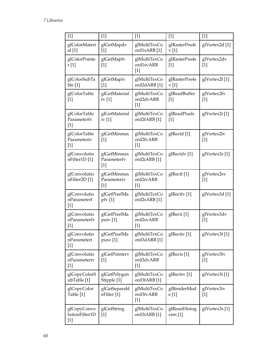| $[1]$                                  | $[1]$                               | $[1]$                              | $[1]$                      | $[1]$                     |
|----------------------------------------|-------------------------------------|------------------------------------|----------------------------|---------------------------|
| glColorMateri<br>al $[1]$              | glGetMapdv<br>$[1]$                 | glMultiTexCo<br>ord1sARB [1]       | glRasterPos4i<br>v[1]      | glVertex2d [1]            |
| glColorPointe<br>r [1]                 | glGetMapfv<br>$[1]$                 | glMultiTexCo<br>ord1svARB<br>$[1]$ | glRasterPos4s<br>$[1]$     | glVertex2dv<br>$[1]$      |
| glColorSubTa<br>ble [1]                | glGetMapiv<br>$[1]$                 | glMultiTexCo<br>ord2dARB [1]       | glRasterPos4s<br>v[1]      | glVertex2f <sup>[1]</sup> |
| glColorTable<br>$[1]$                  | glGetMaterial<br>$f_{\rm V}$ [1]    | glMultiTexCo<br>ord2dvARB<br>$[1]$ | glReadBuffer<br>$[1]$      | glVertex2fv<br>$[1]$      |
| glColorTable<br>Parameterfv<br>$[1]$   | glGetMaterial<br>iv $[1]$           | glMultiTexCo<br>ord2fARB [1]       | glReadPixels<br>$[1]$      | glVertex2i[1]             |
| glColorTable<br>Parameteriv<br>$[1]$   | glGetMinmax<br>$[1]$                | glMultiTexCo<br>ord2fvARB<br>$[1]$ | glRectd [1]                | glVertex2iv<br>$[1]$      |
| glConvolutio<br>nFilter1D [1]          | glGetMinmax<br>Parameterfv<br>$[1]$ | glMultiTexCo<br>ord2iARB [1]       | glRectdv[1]                | glVertex2s <sup>[1]</sup> |
| glConvolutio<br>nFilter2D [1]          | glGetMinmax<br>Parameteriv<br>$[1]$ | glMultiTexCo<br>ord2ivARB<br>$[1]$ | glRectf [1]                | glVertex2sv<br>$[1]$      |
| glConvolutio<br>nParameterf<br>$[1]$   | glGetPixelMa<br>pfv[1]              | glMultiTexCo<br>ord2sARB[1]        | glRectfv[1]                | glVertex3d [1]            |
| glConvolutio<br>nParameterfv<br>$[1]$  | glGetPixelMa<br>puiv[1]             | glMultiTexCo<br>ord2svARB<br>$[1]$ | glRecti <sup>[1]</sup>     | glVertex3dv<br>$[1]$      |
| glConvolutio<br>nParameteri<br>$[1]$   | glGetPixelMa<br>pusv[1]             | glMultiTexCo<br>ord3dARB [1]       | glRectiv <sup>[1]</sup>    | glVertex3f[1]             |
| glConvolutio<br>nParameteriv<br>$[1]$  | glGetPointerv<br>$[1]$              | glMultiTexCo<br>ord3dvARB<br>$[1]$ | glRects <sup>[1]</sup>     | glVertex3fv<br>$[1]$      |
| glCopyColorS<br>ubTable [1]            | glGetPolygon<br>Stipple [1]         | glMultiTexCo<br>ord3fARB [1]       | glRectsv[1]                | glVertex3i <sup>[1]</sup> |
| glCopyColor<br>Table [1]               | glGetSeparabl<br>eFilter [1]        | glMultiTexCo<br>ord3fvARB<br>$[1]$ | glRenderMod<br>e [1]       | glVertex3iv<br>$[1]$      |
| glCopyConvo<br>lutionFilter1D<br>$[1]$ | glGetString<br>$[1]$                | glMultiTexCo<br>ord3iARB [1]       | glResetHistog<br>ram $[1]$ | glVertex3s <sup>[1]</sup> |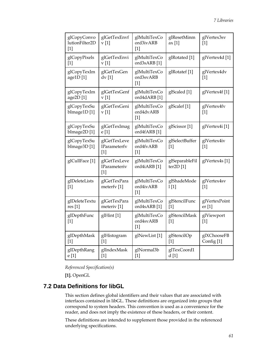<span id="page-60-0"></span>

| glCopyConvo<br>lutionFilter2D<br>$[1]$ | glGetTexEnvf<br>v[1]                         | glMultiTexCo<br>ord3ivARB<br>$[1]$      | glResetMinm<br>ax [1]           | glVertex3sv<br>$[1]$                 |
|----------------------------------------|----------------------------------------------|-----------------------------------------|---------------------------------|--------------------------------------|
| glCopyPixels<br>$[1]$                  | glGetTexEnvi<br>v[1]                         | glMultiTexCo<br>ord3sARB [1]            | glRotated [1]                   | glVertex4d [1]                       |
| glCopyTexIm<br>age1D[1]                | glGetTexGen<br>$dv$ [1]                      | glMultiTexCo<br>ord3svARB<br>[1]        | glRotatef [1]                   | glVertex4dv<br>$[1]$                 |
| glCopyTexIm<br>age2D[1]                | glGetTexGenf<br>v[1]                         | glMultiTexCo<br>ord4dARB [1]            | glScaled [1]                    | glVertex4f[1]                        |
| glCopyTexSu<br>bImage1D[1]             | glGetTexGeni<br>v[1]                         | glMultiTexCo<br>ord4dvARB<br>$[1]$      | glScalef [1]                    | glVertex4fv<br>$[1]$                 |
| glCopyTexSu<br>bImage2D[1]             | glGetTexImag<br>e [1]                        | glMultiTexCo<br>ord4fARB [1]            | glScissor <sup>[1]</sup>        | glVertex4i[1]                        |
| glCopyTexSu<br>bImage3D[1]             | glGetTexLeve<br><b>lParameterfv</b><br>$[1]$ | glMultiTexCo<br>ord4fvARB<br>$[1]$      | glSelectBuffer<br>$[1]$         | glVertex4iv<br>$[1]$                 |
| glCullFace [1]                         | glGetTexLeve<br><b>lParameteriv</b><br>$[1]$ | glMultiTexCo<br>ord4iARB <sup>[1]</sup> | glSeparableFil<br>ter2D[1]      | glVertex4s <sup>[1]</sup>            |
| glDeleteLists<br>$[1]$                 | glGetTexPara<br>meterfy [1]                  | glMultiTexCo<br>ord4ivARB<br>$[1]$      | glShadeMode<br>1 <sub>[1]</sub> | glVertex4sv<br>$[1]$                 |
| glDeleteTextu<br>res[1]                | glGetTexPara<br>meteriv <sup>[1]</sup>       | glMultiTexCo<br>ord4sARB [1]            | glStencilFunc<br>$[1]$          | glVertexPoint<br>er <sub>[1]</sub>   |
| glDepthFunc<br>$[1]$                   | glHint [1]                                   | glMultiTexCo<br>ord4svARB<br>$[1]$      | glStencilMask<br>$[1]$          | glViewport<br>$[1]$                  |
| glDepthMask<br>$[1]$                   | glHistogram<br>$[1]$                         | glNewList [1]                           | glStencilOp<br>$[1]$            | glXChooseFB<br>Config <sup>[1]</sup> |
| glDepthRang<br>e [1]                   | glIndexMask<br>$[1]$                         | glNormal3b<br>$[1]$                     | glTexCoord1<br>d [1]            |                                      |

*Referenced Specification(s)* 

**[1].** [OpenGL](#page-0-0)

# **7.2 Data Definitions for libGL**

This section defines global identifiers and their values that are associated with interfaces contained in libGL. These definitions are organized into groups that correspond to system headers. This convention is used as a convenience for the reader, and does not imply the existence of these headers, or their content.

These definitions are intended to supplement those provided in the referenced underlying specifications.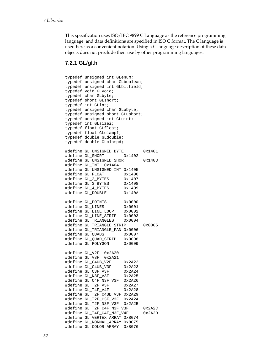This specification uses ISO/IEC 9899 C Language as the reference programming language, and data definitions are specified in ISO C format. The C language is used here as a convenient notation. Using a C language description of these data objects does not preclude their use by other programming languages.

### **7.2.1 GL/gl.h**

typedef unsigned int GLenum; typedef unsigned char GLboolean; typedef unsigned int GLbitfield; typedef void GLvoid; typedef char GLbyte; typedef short GLshort; typedef int GLint; typedef unsigned char GLubyte; typedef unsigned short GLushort; typedef unsigned int GLuint; typedef int GLsizei; typedef float GLfloat; typedef float GLclampf; typedef double GLdouble; typedef double GLclampd; #define GL\_UNSIGNED\_BYTE 0x1401 #define GL\_SHORT 0x1402 #define GL\_UNSIGNED\_SHORT 0x1403 #define GL\_INT 0x1404 #define GL\_UNSIGNED\_INT 0x1405 #define GL\_FLOAT 0x1406<br>#define GL\_2\_BYTES 0x1407 #define GL\_2\_BYTES 0x1407 #define GL\_3\_BYTES 0x1408 #define GL 4 BYTES #define GL\_DOUBLE 0x140A #define GL\_POINTS 0x0000 #define GL\_LINES 0x0001 #define GL\_LINE\_LOOP 0x0002 #define GL\_LINE\_STRIP 0x0003 #define GL\_TRIANGLES 0x0004 #define GL\_TRIANGLE\_STRIP 0x0005 #define GL\_TRIANGLE\_FAN 0x0006 #define GL\_QUADS 0x0007 #define GL\_QUAD\_STRIP 0x0008 #define GL\_POLYGON 0x0009 #define GL\_V2F 0x2A20 #define GL\_V3F 0x2A21 #define GL\_C4UB\_V2F 0x2A22 #define GL\_C4UB\_V3F 0x2A23 #define GL\_C3F\_V3F 0x2A24 #define GL\_N3F\_V3F 0x2A25 #define GL\_C4F\_N3F\_V3F 0x2A26 #define GL\_T2F\_V3F 0x2A27 #define GL\_T4F\_V4F #define GL\_T2F\_C4UB\_V3F 0x2A29 #define GL\_T2F\_C3F\_V3F 0x2A2A #define GL\_T2F\_N3F\_V3F 0x2A2B #define GL\_T2F\_C4F\_N3F\_V3F 0x2A2C #define GL\_T4F\_C4F\_N3F\_V4F #define GL\_VERTEX\_ARRAY 0x8074 #define GL\_NORMAL\_ARRAY 0x8075 #define GL\_COLOR\_ARRAY 0x8076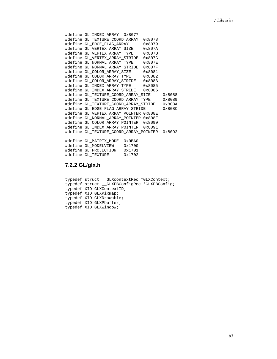```
#define GL_INDEX_ARRAY 0x8077 
#define GL_TEXTURE_COORD_ARRAY 0x8078 
#define GL_EDGE_FLAG_ARRAY 0x8079 
#define GL_VERTEX_ARRAY_SIZE 0x807A 
#define GL_VERTEX_ARRAY_TYPE
#define GL_VERTEX_ARRAY_STRIDE 0x807C 
#define GL_NORMAL_ARRAY_TYPE
#define GL_NORMAL_ARRAY_STRIDE 0x807F 
#define GL_COLOR_ARRAY_SIZE
#define GL_COLOR_ARRAY_TYPE 0x8082 
#define GL_COLOR_ARRAY_STRIDE 0x8083 
#define GL_INDEX_ARRAY_TYPE 0x8085 
#define GL_INDEX_ARRAY_STRIDE 0x8086 
#define GL_TEXTURE_COORD_ARRAY_SIZE 0x8088 
#define GL_TEXTURE_COORD_ARRAY_TYPE 0x8089 
#define GL_TEXTURE_COORD_ARRAY_STRIDE
#define GL_EDGE_FLAG_ARRAY_STRIDE 0x808C 
#define GL_VERTEX_ARRAY_POINTER 0x808E 
#define GL_NORMAL_ARRAY_POINTER 0x808F 
#define GL_COLOR_ARRAY_POINTER 0x8090 
#define GL_INDEX_ARRAY_POINTER 0x8091 
#define GL_TEXTURE_COORD_ARRAY_POINTER 0x8092 
#define GL_MATRIX_MODE 0x0BA0 
#define GL_MODELVIEW 0x1700 
#define GL_PROJECTION 0x1701 
#define GL_TEXTURE
```
## **7.2.2 GL/glx.h**

```
typedef struct __GLXcontextRec *GLXContext;
typedef struct __GLXFBConfigRec *GLXFBConfig; 
typedef XID GLXContextID; 
typedef XID GLXPixmap; 
typedef XID GLXDrawable; 
typedef XID GLXPbuffer; 
typedef XID GLXWindow;
```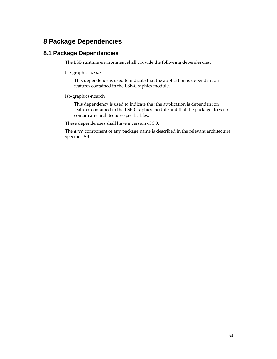# <span id="page-63-0"></span>**8 Package Dependencies**

# **8.1 Package Dependencies**

The LSB runtime environment shall provide the following dependencies.

lsb-graphics-*arch* 

 This dependency is used to indicate that the application is dependent on features contained in the LSB-Graphics module.

lsb-graphics-noarch

 This dependency is used to indicate that the application is dependent on features contained in the LSB-Graphics module and that the package does not contain any architecture specific files.

These dependencies shall have a version of 3.0.

The *arch* component of any package name is described in the relevant architecture specific LSB.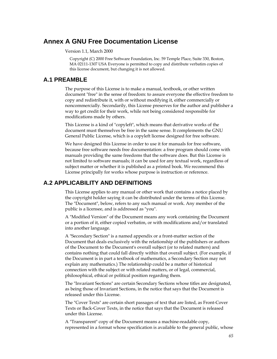# <span id="page-64-0"></span>**Annex A GNU Free Documentation License**

Version 1.1, March 2000

Copyright (C) 2000 Free Software Foundation, Inc. 59 Temple Place, Suite 330, Boston, MA 02111-1307 USA Everyone is permitted to copy and distribute verbatim copies of this license document, but changing it is not allowed.

### **A.1 PREAMBLE**

The purpose of this License is to make a manual, textbook, or other written document "free" in the sense of freedom: to assure everyone the effective freedom to copy and redistribute it, with or without modifying it, either commercially or noncommercially. Secondarily, this License preserves for the author and publisher a way to get credit for their work, while not being considered responsible for modifications made by others.

This License is a kind of "copyleft", which means that derivative works of the document must themselves be free in the same sense. It complements the GNU General Public License, which is a copyleft license designed for free software.

We have designed this License in order to use it for manuals for free software, because free software needs free documentation: a free program should come with manuals providing the same freedoms that the software does. But this License is not limited to software manuals; it can be used for any textual work, regardless of subject matter or whether it is published as a printed book. We recommend this License principally for works whose purpose is instruction or reference.

# **A.2 APPLICABILITY AND DEFINITIONS**

This License applies to any manual or other work that contains a notice placed by the copyright holder saying it can be distributed under the terms of this License. The "Document", below, refers to any such manual or work. Any member of the public is a licensee, and is addressed as "you".

A "Modified Version" of the Document means any work containing the Document or a portion of it, either copied verbatim, or with modifications and/or translated into another language.

A "Secondary Section" is a named appendix or a front-matter section of the Document that deals exclusively with the relationship of the publishers or authors of the Document to the Document's overall subject (or to related matters) and contains nothing that could fall directly within that overall subject. (For example, if the Document is in part a textbook of mathematics, a Secondary Section may not explain any mathematics.) The relationship could be a matter of historical connection with the subject or with related matters, or of legal, commercial, philosophical, ethical or political position regarding them.

The "Invariant Sections" are certain Secondary Sections whose titles are designated, as being those of Invariant Sections, in the notice that says that the Document is released under this License.

The "Cover Texts" are certain short passages of text that are listed, as Front-Cover Texts or Back-Cover Texts, in the notice that says that the Document is released under this License.

A "Transparent" copy of the Document means a machine-readable copy, represented in a format whose specification is available to the general public, whose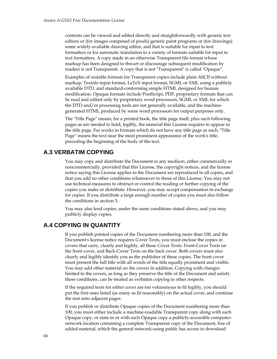<span id="page-65-0"></span>contents can be viewed and edited directly and straightforwardly with generic text editors or (for images composed of pixels) generic paint programs or (for drawings) some widely available drawing editor, and that is suitable for input to text formatters or for automatic translation to a variety of formats suitable for input to text formatters. A copy made in an otherwise Transparent file format whose markup has been designed to thwart or discourage subsequent modification by readers is not Transparent. A copy that is not "Transparent" is called "Opaque".

Examples of suitable formats for Transparent copies include plain ASCII without markup, Texinfo input format, LaTeX input format, SGML or XML using a publicly available DTD, and standard-conforming simple HTML designed for human modification. Opaque formats include PostScript, PDF, proprietary formats that can be read and edited only by proprietary word processors, SGML or XML for which the DTD and/or processing tools are not generally available, and the machinegenerated HTML produced by some word processors for output purposes only.

The "Title Page" means, for a printed book, the title page itself, plus such following pages as are needed to hold, legibly, the material this License requires to appear in the title page. For works in formats which do not have any title page as such, "Title Page" means the text near the most prominent appearance of the work's title, preceding the beginning of the body of the text.

## **A.3 VERBATIM COPYING**

You may copy and distribute the Document in any medium, either commercially or noncommercially, provided that this License, the copyright notices, and the license notice saying this License applies to the Document are reproduced in all copies, and that you add no other conditions whatsoever to those of this License. You may not use technical measures to obstruct or control the reading or further copying of the copies you make or distribute. However, you may accept compensation in exchange for copies. If you distribute a large enough number of copies you must also follow the conditions in section 3.

You may also lend copies, under the same conditions stated above, and you may publicly display copies.

# **A.4 COPYING IN QUANTITY**

If you publish printed copies of the Document numbering more than 100, and the Document's license notice requires Cover Texts, you must enclose the copies in covers that carry, clearly and legibly, all these Cover Texts: Front-Cover Texts on the front cover, and Back-Cover Texts on the back cover. Both covers must also clearly and legibly identify you as the publisher of these copies. The front cover must present the full title with all words of the title equally prominent and visible. You may add other material on the covers in addition. Copying with changes limited to the covers, as long as they preserve the title of the Document and satisfy these conditions, can be treated as verbatim copying in other respects.

If the required texts for either cover are too voluminous to fit legibly, you should put the first ones listed (as many as fit reasonably) on the actual cover, and continue the rest onto adjacent pages.

If you publish or distribute Opaque copies of the Document numbering more than 100, you must either include a machine-readable Transparent copy along with each Opaque copy, or state in or with each Opaque copy a publicly-accessible computernetwork location containing a complete Transparent copy of the Document, free of added material, which the general network-using public has access to download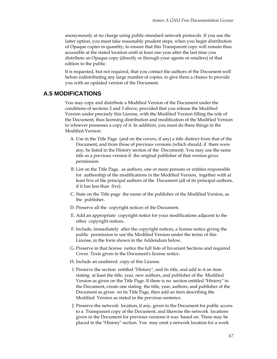<span id="page-66-0"></span>anonymously at no charge using public-standard network protocols. If you use the latter option, you must take reasonably prudent steps, when you begin distribution of Opaque copies in quantity, to ensure that this Transparent copy will remain thus accessible at the stated location until at least one year after the last time you distribute an Opaque copy (directly or through your agents or retailers) of that edition to the public.

It is requested, but not required, that you contact the authors of the Document well before redistributing any large number of copies, to give them a chance to provide you with an updated version of the Document.

## **A.5 MODIFICATIONS**

You may copy and distribute a Modified Version of the Document under the conditions of sections 2 and 3 above, provided that you release the Modified Version under precisely this License, with the Modified Version filling the role of the Document, thus licensing distribution and modification of the Modified Version to whoever possesses a copy of it. In addition, you must do these things in the Modified Version:

- A. Use in the Title Page (and on the covers, if any) a title distinct from that of the Document, and from those of previous versions (which should, if there were any, be listed in the History section of the Document). You may use the same title as a previous version if the original publisher of that version gives permission.
- B. List on the Title Page, as authors, one or more persons or entities responsible for authorship of the modifications in the Modified Version, together with at least five of the principal authors of the Document (all of its principal authors, if it has less than five).
- C. State on the Title page the name of the publisher of the Modified Version, as the publisher.
- D. Preserve all the copyright notices of the Document.
- E. Add an appropriate copyright notice for your modifications adjacent to the other copyright notices.
- F. Include, immediately after the copyright notices, a license notice giving the public permission to use the Modified Version under the terms of this License, in the form shown in the Addendum below.
- G. Preserve in that license notice the full lists of Invariant Sections and required Cover Texts given in the Document's license notice.
- H. Include an unaltered copy of this License.
- I. Preserve the section entitled "History", and its title, and add to it an item stating at least the title, year, new authors, and publisher of the Modified Version as given on the Title Page. If there is no section entitled "History" in the Document, create one stating the title, year, authors, and publisher of the Document as given on its Title Page, then add an item describing the Modified Version as stated in the previous sentence.
- J. Preserve the network location, if any, given in the Document for public access to a Transparent copy of the Document, and likewise the network locations given in the Document for previous versions it was based on. These may be placed in the "History" section. You may omit a network location for a work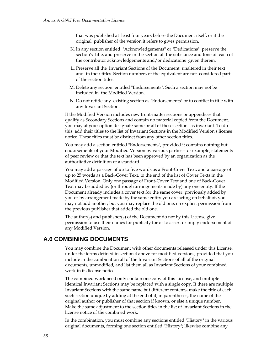<span id="page-67-0"></span>that was published at least four years before the Document itself, or if the original publisher of the version it refers to gives permission.

- K. In any section entitled "Acknowledgements" or "Dedications", preserve the section's title, and preserve in the section all the substance and tone of each of the contributor acknowledgements and/or dedications given therein.
- L. Preserve all the Invariant Sections of the Document, unaltered in their text and in their titles. Section numbers or the equivalent are not considered part of the section titles.
- M. Delete any section entitled "Endorsements". Such a section may not be included in the Modified Version.
- N. Do not retitle any existing section as "Endorsements" or to conflict in title with any Invariant Section.

If the Modified Version includes new front-matter sections or appendices that qualify as Secondary Sections and contain no material copied from the Document, you may at your option designate some or all of these sections as invariant. To do this, add their titles to the list of Invariant Sections in the Modified Version's license notice. These titles must be distinct from any other section titles.

You may add a section entitled "Endorsements", provided it contains nothing but endorsements of your Modified Version by various parties--for example, statements of peer review or that the text has been approved by an organization as the authoritative definition of a standard.

You may add a passage of up to five words as a Front-Cover Text, and a passage of up to 25 words as a Back-Cover Text, to the end of the list of Cover Texts in the Modified Version. Only one passage of Front-Cover Text and one of Back-Cover Text may be added by (or through arrangements made by) any one entity. If the Document already includes a cover text for the same cover, previously added by you or by arrangement made by the same entity you are acting on behalf of, you may not add another; but you may replace the old one, on explicit permission from the previous publisher that added the old one.

The author(s) and publisher(s) of the Document do not by this License give permission to use their names for publicity for or to assert or imply endorsement of any Modified Version.

# **A.6 COMBINING DOCUMENTS**

You may combine the Document with other documents released under this License, under the terms defined in section 4 above for modified versions, provided that you include in the combination all of the Invariant Sections of all of the original documents, unmodified, and list them all as Invariant Sections of your combined work in its license notice.

The combined work need only contain one copy of this License, and multiple identical Invariant Sections may be replaced with a single copy. If there are multiple Invariant Sections with the same name but different contents, make the title of each such section unique by adding at the end of it, in parentheses, the name of the original author or publisher of that section if known, or else a unique number. Make the same adjustment to the section titles in the list of Invariant Sections in the license notice of the combined work.

In the combination, you must combine any sections entitled "History" in the various original documents, forming one section entitled "History"; likewise combine any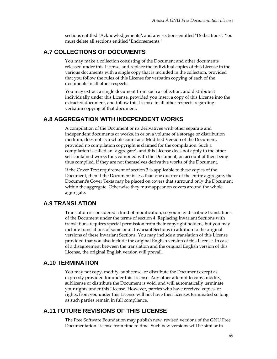sections entitled "Acknowledgements", and any sections entitled "Dedications". You must delete all sections entitled "Endorsements."

# <span id="page-68-0"></span>**A.7 COLLECTIONS OF DOCUMENTS**

You may make a collection consisting of the Document and other documents released under this License, and replace the individual copies of this License in the various documents with a single copy that is included in the collection, provided that you follow the rules of this License for verbatim copying of each of the documents in all other respects.

You may extract a single document from such a collection, and distribute it individually under this License, provided you insert a copy of this License into the extracted document, and follow this License in all other respects regarding verbatim copying of that document.

### **A.8 AGGREGATION WITH INDEPENDENT WORKS**

A compilation of the Document or its derivatives with other separate and independent documents or works, in or on a volume of a storage or distribution medium, does not as a whole count as a Modified Version of the Document, provided no compilation copyright is claimed for the compilation. Such a compilation is called an "aggregate", and this License does not apply to the other self-contained works thus compiled with the Document, on account of their being thus compiled, if they are not themselves derivative works of the Document.

If the Cover Text requirement of section 3 is applicable to these copies of the Document, then if the Document is less than one quarter of the entire aggregate, the Document's Cover Texts may be placed on covers that surround only the Document within the aggregate. Otherwise they must appear on covers around the whole aggregate.

# **A.9 TRANSLATION**

Translation is considered a kind of modification, so you may distribute translations of the Document under the terms of section 4. Replacing Invariant Sections with translations requires special permission from their copyright holders, but you may include translations of some or all Invariant Sections in addition to the original versions of these Invariant Sections. You may include a translation of this License provided that you also include the original English version of this License. In case of a disagreement between the translation and the original English version of this License, the original English version will prevail.

# **A.10 TERMINATION**

You may not copy, modify, sublicense, or distribute the Document except as expressly provided for under this License. Any other attempt to copy, modify, sublicense or distribute the Document is void, and will automatically terminate your rights under this License. However, parties who have received copies, or rights, from you under this License will not have their licenses terminated so long as such parties remain in full compliance.

# **A.11 FUTURE REVISIONS OF THIS LICENSE**

The Free Software Foundation may publish new, revised versions of the GNU Free Documentation License from time to time. Such new versions will be similar in